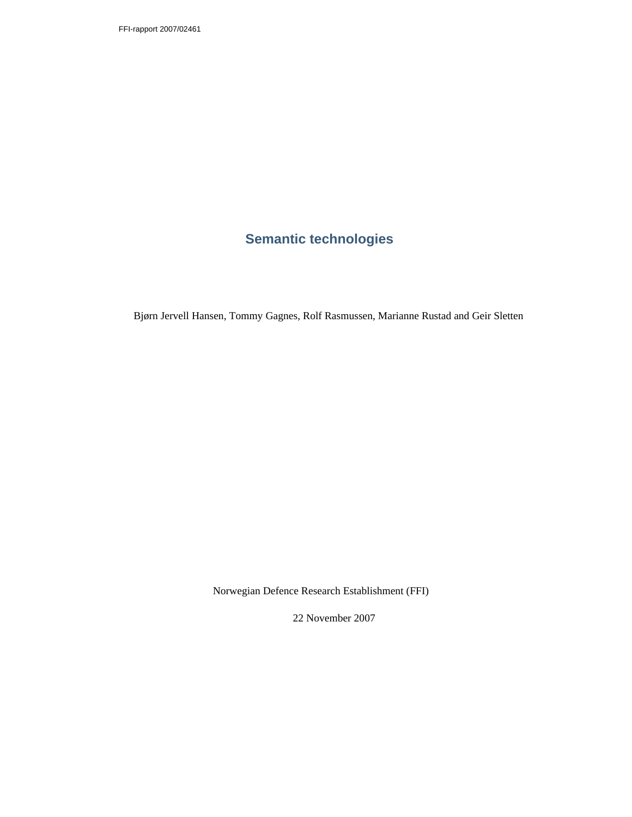# **Semantic technologies**

Bjørn Jervell Hansen, Tommy Gagnes, Rolf Rasmussen, Marianne Rustad and Geir Sletten

Norwegian Defence Research Establishment (FFI)

22 November 2007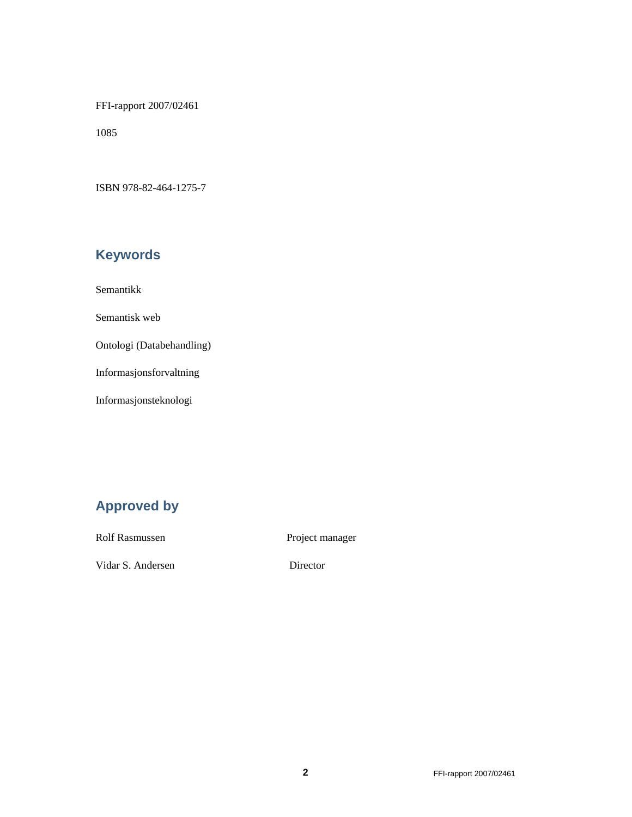FFI-rapport 2007/02461

1085

ISBN 978-82-464-1275-7

# **Keywords**

Semantikk

Semantisk web

Ontologi (Databehandling)

Informasjonsforvaltning

Informasjonsteknologi

## **Approved by**

Rolf Rasmussen Project manager

Vidar S. Andersen Director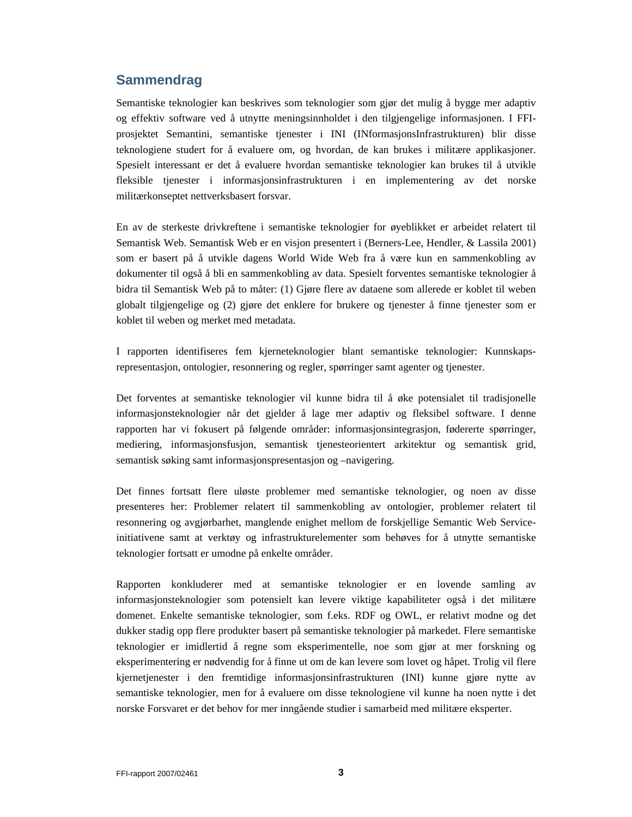### **Sammendrag**

Semantiske teknologier kan beskrives som teknologier som gjør det mulig å bygge mer adaptiv og effektiv software ved å utnytte meningsinnholdet i den tilgjengelige informasjonen. I FFIprosjektet Semantini, semantiske tjenester i INI (INformasjonsInfrastrukturen) blir disse teknologiene studert for å evaluere om, og hvordan, de kan brukes i militære applikasjoner. Spesielt interessant er det å evaluere hvordan semantiske teknologier kan brukes til å utvikle fleksible tjenester i informasjonsinfrastrukturen i en implementering av det norske militærkonseptet nettverksbasert forsvar.

En av de sterkeste drivkreftene i semantiske teknologier for øyeblikket er arbeidet relatert til Semantisk Web. Semantisk Web er en visjon presentert i (Berners-Lee, Hendler, & Lassila 2001) som er basert på å utvikle dagens World Wide Web fra å være kun en sammenkobling av dokumenter til også å bli en sammenkobling av data. Spesielt forventes semantiske teknologier å bidra til Semantisk Web på to måter: (1) Gjøre flere av dataene som allerede er koblet til weben globalt tilgjengelige og (2) gjøre det enklere for brukere og tjenester å finne tjenester som er koblet til weben og merket med metadata.

I rapporten identifiseres fem kjerneteknologier blant semantiske teknologier: Kunnskapsrepresentasjon, ontologier, resonnering og regler, spørringer samt agenter og tjenester.

Det forventes at semantiske teknologier vil kunne bidra til å øke potensialet til tradisjonelle informasjonsteknologier når det gjelder å lage mer adaptiv og fleksibel software. I denne rapporten har vi fokusert på følgende områder: informasjonsintegrasjon, fødererte spørringer, mediering, informasjonsfusjon, semantisk tjenesteorientert arkitektur og semantisk grid, semantisk søking samt informasjonspresentasjon og –navigering.

Det finnes fortsatt flere uløste problemer med semantiske teknologier, og noen av disse presenteres her: Problemer relatert til sammenkobling av ontologier, problemer relatert til resonnering og avgjørbarhet, manglende enighet mellom de forskjellige Semantic Web Serviceinitiativene samt at verktøy og infrastrukturelementer som behøves for å utnytte semantiske teknologier fortsatt er umodne på enkelte områder.

Rapporten konkluderer med at semantiske teknologier er en lovende samling av informasjonsteknologier som potensielt kan levere viktige kapabiliteter også i det militære domenet. Enkelte semantiske teknologier, som f.eks. RDF og OWL, er relativt modne og det dukker stadig opp flere produkter basert på semantiske teknologier på markedet. Flere semantiske teknologier er imidlertid å regne som eksperimentelle, noe som gjør at mer forskning og eksperimentering er nødvendig for å finne ut om de kan levere som lovet og håpet. Trolig vil flere kjernetjenester i den fremtidige informasjonsinfrastrukturen (INI) kunne gjøre nytte av semantiske teknologier, men for å evaluere om disse teknologiene vil kunne ha noen nytte i det norske Forsvaret er det behov for mer inngående studier i samarbeid med militære eksperter.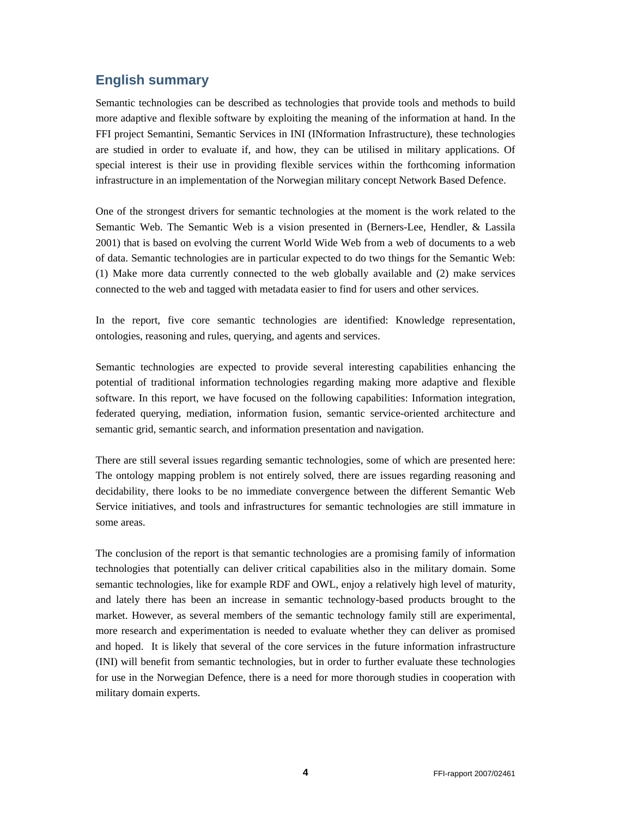## **English summary**

Semantic technologies can be described as technologies that provide tools and methods to build more adaptive and flexible software by exploiting the meaning of the information at hand. In the FFI project Semantini, Semantic Services in INI (INformation Infrastructure), these technologies are studied in order to evaluate if, and how, they can be utilised in military applications. Of special interest is their use in providing flexible services within the forthcoming information infrastructure in an implementation of the Norwegian military concept Network Based Defence.

One of the strongest drivers for semantic technologies at the moment is the work related to the Semantic Web. The Semantic Web is a vision presented in (Berners-Lee, Hendler, & Lassila 2001) that is based on evolving the current World Wide Web from a web of documents to a web of data. Semantic technologies are in particular expected to do two things for the Semantic Web: (1) Make more data currently connected to the web globally available and (2) make services connected to the web and tagged with metadata easier to find for users and other services.

In the report, five core semantic technologies are identified: Knowledge representation, ontologies, reasoning and rules, querying, and agents and services.

Semantic technologies are expected to provide several interesting capabilities enhancing the potential of traditional information technologies regarding making more adaptive and flexible software. In this report, we have focused on the following capabilities: Information integration, federated querying, mediation, information fusion, semantic service-oriented architecture and semantic grid, semantic search, and information presentation and navigation.

There are still several issues regarding semantic technologies, some of which are presented here: The ontology mapping problem is not entirely solved, there are issues regarding reasoning and decidability, there looks to be no immediate convergence between the different Semantic Web Service initiatives, and tools and infrastructures for semantic technologies are still immature in some areas.

The conclusion of the report is that semantic technologies are a promising family of information technologies that potentially can deliver critical capabilities also in the military domain. Some semantic technologies, like for example RDF and OWL, enjoy a relatively high level of maturity, and lately there has been an increase in semantic technology-based products brought to the market. However, as several members of the semantic technology family still are experimental, more research and experimentation is needed to evaluate whether they can deliver as promised and hoped. It is likely that several of the core services in the future information infrastructure (INI) will benefit from semantic technologies, but in order to further evaluate these technologies for use in the Norwegian Defence, there is a need for more thorough studies in cooperation with military domain experts.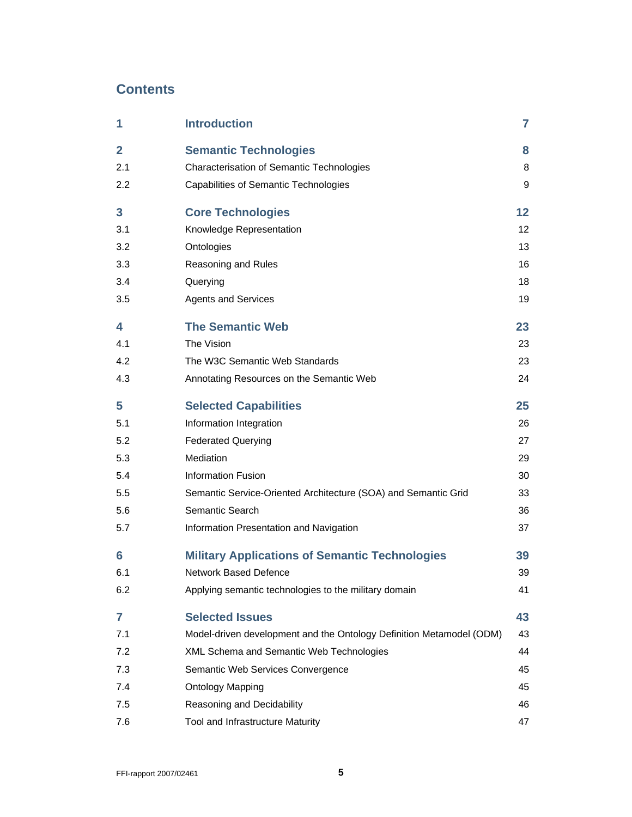## **Contents**

| 1              | <b>Introduction</b>                                                  | 7  |
|----------------|----------------------------------------------------------------------|----|
| $\overline{2}$ | <b>Semantic Technologies</b>                                         | 8  |
| 2.1            | Characterisation of Semantic Technologies                            | 8  |
| 2.2            | Capabilities of Semantic Technologies                                | 9  |
| 3              | <b>Core Technologies</b>                                             | 12 |
| 3.1            | Knowledge Representation                                             | 12 |
| 3.2            | Ontologies                                                           | 13 |
| 3.3            | Reasoning and Rules                                                  | 16 |
| 3.4            | Querying                                                             | 18 |
| 3.5            | <b>Agents and Services</b>                                           | 19 |
| 4              | <b>The Semantic Web</b>                                              | 23 |
| 4.1            | The Vision                                                           | 23 |
| 4.2            | The W3C Semantic Web Standards                                       | 23 |
| 4.3            | Annotating Resources on the Semantic Web                             | 24 |
| 5              | <b>Selected Capabilities</b>                                         | 25 |
| 5.1            | Information Integration                                              | 26 |
| 5.2            | <b>Federated Querying</b>                                            | 27 |
| 5.3            | Mediation                                                            | 29 |
| 5.4            | <b>Information Fusion</b>                                            | 30 |
| 5.5            | Semantic Service-Oriented Architecture (SOA) and Semantic Grid       | 33 |
| 5.6            | Semantic Search                                                      | 36 |
| 5.7            | Information Presentation and Navigation                              | 37 |
| 6              | <b>Military Applications of Semantic Technologies</b>                | 39 |
| 6.1            | <b>Network Based Defence</b>                                         | 39 |
| 6.2            | Applying semantic technologies to the military domain                | 41 |
| 7              | <b>Selected Issues</b>                                               | 43 |
| 7.1            | Model-driven development and the Ontology Definition Metamodel (ODM) | 43 |
| 7.2            | XML Schema and Semantic Web Technologies                             | 44 |
| 7.3            | Semantic Web Services Convergence                                    | 45 |
| 7.4            | <b>Ontology Mapping</b>                                              | 45 |
| 7.5            | Reasoning and Decidability                                           | 46 |
| 7.6            | Tool and Infrastructure Maturity                                     | 47 |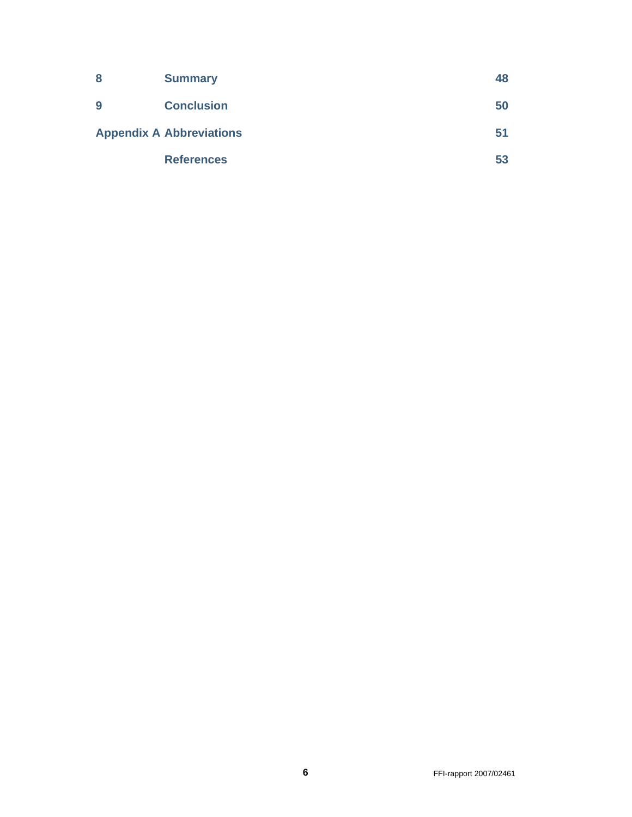| 8 | <b>Summary</b>                  | 48 |
|---|---------------------------------|----|
| 9 | <b>Conclusion</b>               | 50 |
|   | <b>Appendix A Abbreviations</b> | 51 |
|   | <b>References</b>               | 53 |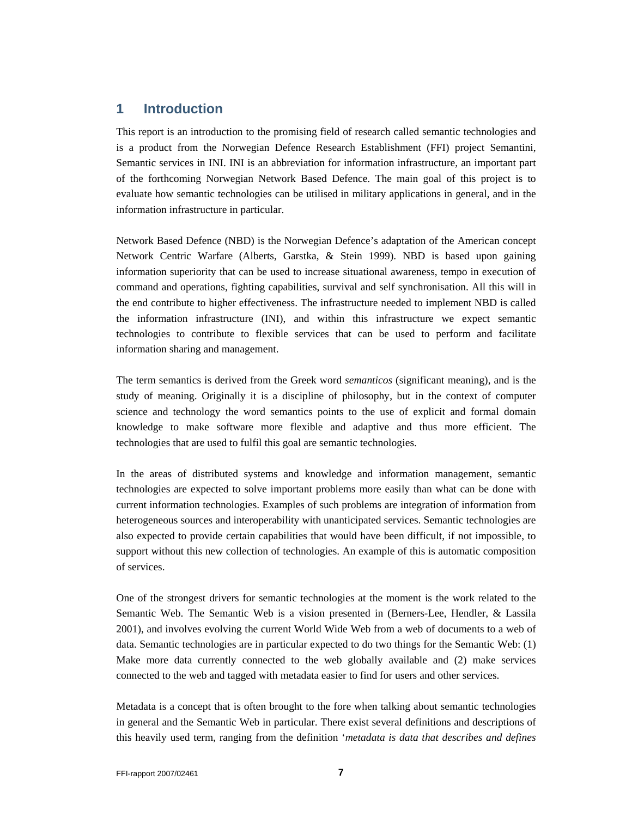## **1 Introduction**

This report is an introduction to the promising field of research called semantic technologies and is a product from the Norwegian Defence Research Establishment (FFI) project Semantini, Semantic services in INI. INI is an abbreviation for information infrastructure, an important part of the forthcoming Norwegian Network Based Defence. The main goal of this project is to evaluate how semantic technologies can be utilised in military applications in general, and in the information infrastructure in particular.

Network Based Defence (NBD) is the Norwegian Defence's adaptation of the American concept Network Centric Warfare (Alberts, Garstka, & Stein 1999). NBD is based upon gaining information superiority that can be used to increase situational awareness, tempo in execution of command and operations, fighting capabilities, survival and self synchronisation. All this will in the end contribute to higher effectiveness. The infrastructure needed to implement NBD is called the information infrastructure (INI), and within this infrastructure we expect semantic technologies to contribute to flexible services that can be used to perform and facilitate information sharing and management.

The term semantics is derived from the Greek word *semanticos* (significant meaning), and is the study of meaning. Originally it is a discipline of philosophy, but in the context of computer science and technology the word semantics points to the use of explicit and formal domain knowledge to make software more flexible and adaptive and thus more efficient. The technologies that are used to fulfil this goal are semantic technologies.

In the areas of distributed systems and knowledge and information management, semantic technologies are expected to solve important problems more easily than what can be done with current information technologies. Examples of such problems are integration of information from heterogeneous sources and interoperability with unanticipated services. Semantic technologies are also expected to provide certain capabilities that would have been difficult, if not impossible, to support without this new collection of technologies. An example of this is automatic composition of services.

One of the strongest drivers for semantic technologies at the moment is the work related to the Semantic Web. The Semantic Web is a vision presented in (Berners-Lee, Hendler, & Lassila 2001), and involves evolving the current World Wide Web from a web of documents to a web of data. Semantic technologies are in particular expected to do two things for the Semantic Web: (1) Make more data currently connected to the web globally available and (2) make services connected to the web and tagged with metadata easier to find for users and other services.

Metadata is a concept that is often brought to the fore when talking about semantic technologies in general and the Semantic Web in particular. There exist several definitions and descriptions of this heavily used term, ranging from the definition '*metadata is data that describes and defines*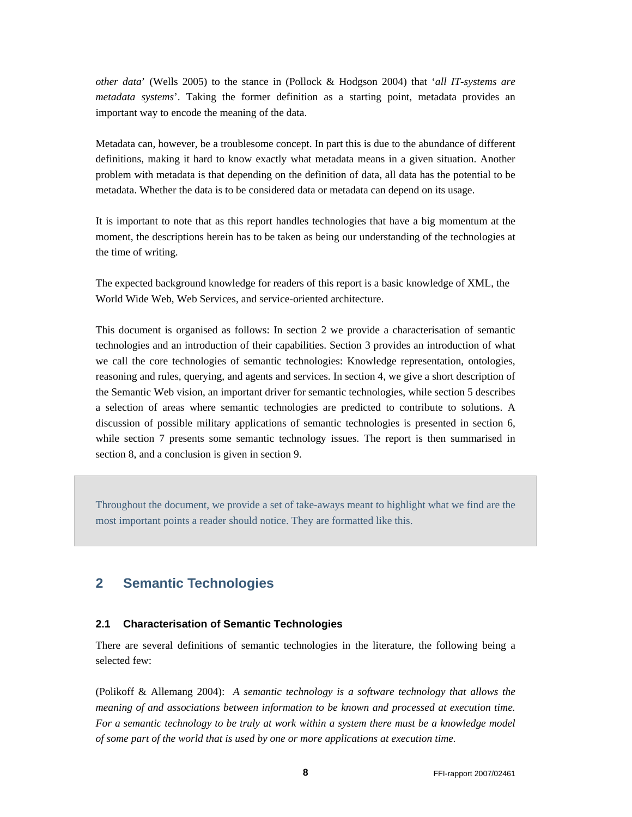*other data*' (Wells 2005) to the stance in (Pollock & Hodgson 2004) that '*all IT-systems are metadata systems*'. Taking the former definition as a starting point, metadata provides an important way to encode the meaning of the data.

Metadata can, however, be a troublesome concept. In part this is due to the abundance of different definitions, making it hard to know exactly what metadata means in a given situation. Another problem with metadata is that depending on the definition of data, all data has the potential to be metadata. Whether the data is to be considered data or metadata can depend on its usage.

It is important to note that as this report handles technologies that have a big momentum at the moment, the descriptions herein has to be taken as being our understanding of the technologies at the time of writing.

The expected background knowledge for readers of this report is a basic knowledge of XML, the World Wide Web, Web Services, and service-oriented architecture.

This document is organised as follows: In section 2 we provide a characterisation of semantic technologies and an introduction of their capabilities. Section 3 provides an introduction of what we call the core technologies of semantic technologies: Knowledge representation, ontologies, reasoning and rules, querying, and agents and services. In section 4, we give a short description of the Semantic Web vision, an important driver for semantic technologies, while section 5 describes a selection of areas where semantic technologies are predicted to contribute to solutions. A discussion of possible military applications of semantic technologies is presented in section 6, while section 7 presents some semantic technology issues. The report is then summarised in section 8, and a conclusion is given in section 9.

Throughout the document, we provide a set of take-aways meant to highlight what we find are the most important points a reader should notice. They are formatted like this.

## **2 Semantic Technologies**

#### **2.1 Characterisation of Semantic Technologies**

There are several definitions of semantic technologies in the literature, the following being a selected few:

(Polikoff & Allemang 2004): *A semantic technology is a software technology that allows the meaning of and associations between information to be known and processed at execution time. For a semantic technology to be truly at work within a system there must be a knowledge model of some part of the world that is used by one or more applications at execution time.*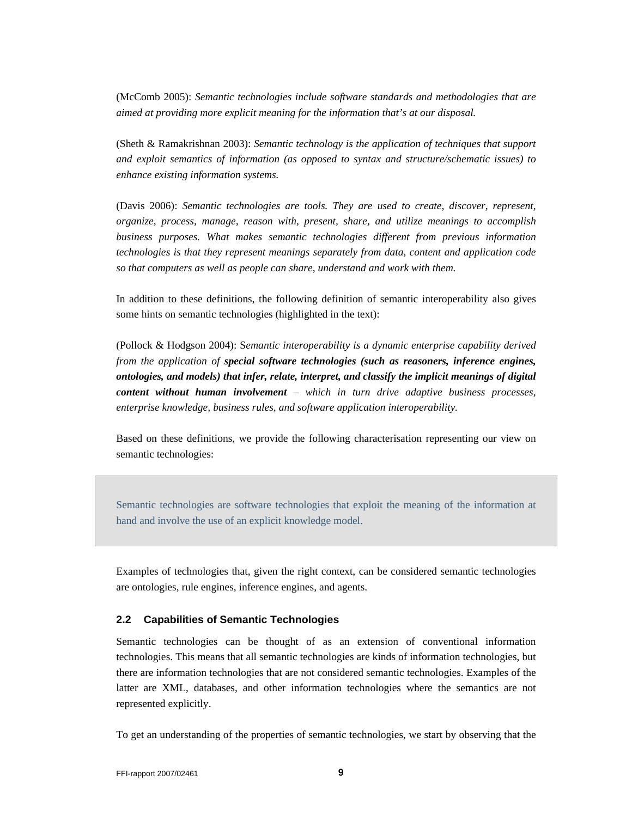(McComb 2005): *Semantic technologies include software standards and methodologies that are aimed at providing more explicit meaning for the information that's at our disposal.* 

(Sheth & Ramakrishnan 2003): *Semantic technology is the application of techniques that support and exploit semantics of information (as opposed to syntax and structure/schematic issues) to enhance existing information systems.* 

(Davis 2006): *Semantic technologies are tools. They are used to create, discover, represent, organize, process, manage, reason with, present, share, and utilize meanings to accomplish business purposes. What makes semantic technologies different from previous information technologies is that they represent meanings separately from data, content and application code so that computers as well as people can share, understand and work with them.* 

In addition to these definitions, the following definition of semantic interoperability also gives some hints on semantic technologies (highlighted in the text):

(Pollock & Hodgson 2004): S*emantic interoperability is a dynamic enterprise capability derived from the application of special software technologies (such as reasoners, inference engines, ontologies, and models) that infer, relate, interpret, and classify the implicit meanings of digital content without human involvement – which in turn drive adaptive business processes, enterprise knowledge, business rules, and software application interoperability.* 

Based on these definitions, we provide the following characterisation representing our view on semantic technologies:

Semantic technologies are software technologies that exploit the meaning of the information at hand and involve the use of an explicit knowledge model.

Examples of technologies that, given the right context, can be considered semantic technologies are ontologies, rule engines, inference engines, and agents.

#### **2.2 Capabilities of Semantic Technologies**

Semantic technologies can be thought of as an extension of conventional information technologies. This means that all semantic technologies are kinds of information technologies, but there are information technologies that are not considered semantic technologies. Examples of the latter are XML, databases, and other information technologies where the semantics are not represented explicitly.

To get an understanding of the properties of semantic technologies, we start by observing that the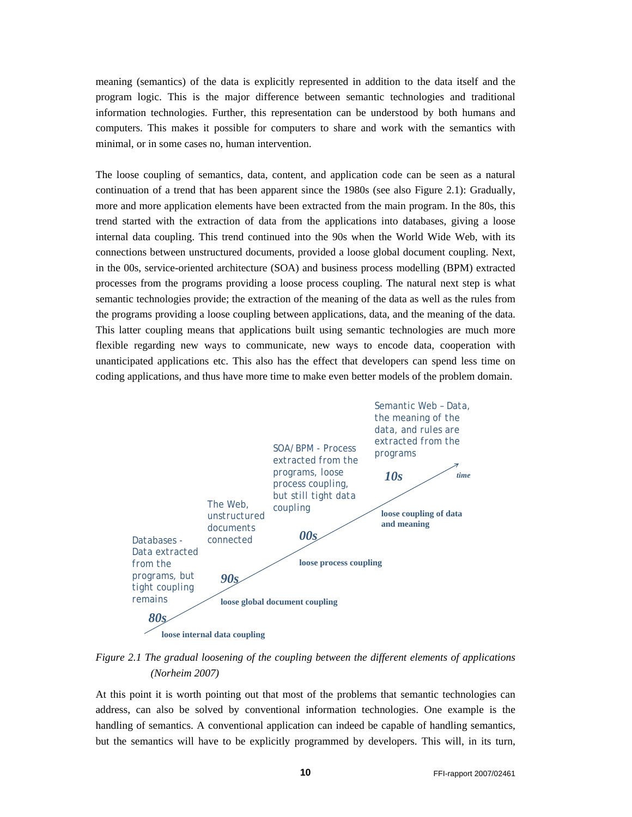meaning (semantics) of the data is explicitly represented in addition to the data itself and the program logic. This is the major difference between semantic technologies and traditional information technologies. Further, this representation can be understood by both humans and computers. This makes it possible for computers to share and work with the semantics with minimal, or in some cases no, human intervention.

The loose coupling of semantics, data, content, and application code can be seen as a natural continuation of a trend that has been apparent since the 1980s (see also Figure 2.1): Gradually, more and more application elements have been extracted from the main program. In the 80s, this trend started with the extraction of data from the applications into databases, giving a loose internal data coupling. This trend continued into the 90s when the World Wide Web, with its connections between unstructured documents, provided a loose global document coupling. Next, in the 00s, service-oriented architecture (SOA) and business process modelling (BPM) extracted processes from the programs providing a loose process coupling. The natural next step is what semantic technologies provide; the extraction of the meaning of the data as well as the rules from the programs providing a loose coupling between applications, data, and the meaning of the data. This latter coupling means that applications built using semantic technologies are much more flexible regarding new ways to communicate, new ways to encode data, cooperation with unanticipated applications etc. This also has the effect that developers can spend less time on coding applications, and thus have more time to make even better models of the problem domain.



*Figure 2.1 The gradual loosening of the coupling between the different elements of applications (Norheim 2007)* 

At this point it is worth pointing out that most of the problems that semantic technologies can address, can also be solved by conventional information technologies. One example is the handling of semantics. A conventional application can indeed be capable of handling semantics, but the semantics will have to be explicitly programmed by developers. This will, in its turn,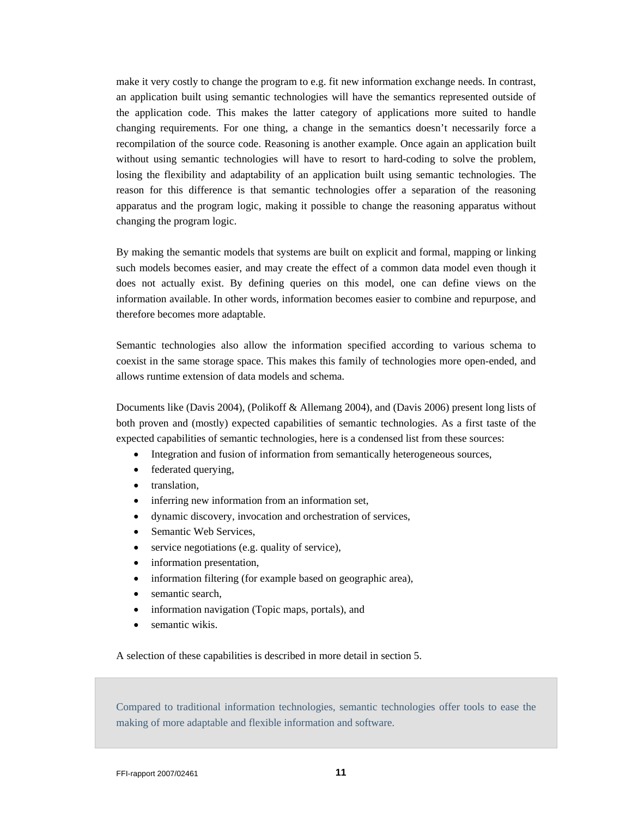make it very costly to change the program to e.g. fit new information exchange needs. In contrast, an application built using semantic technologies will have the semantics represented outside of the application code. This makes the latter category of applications more suited to handle changing requirements. For one thing, a change in the semantics doesn't necessarily force a recompilation of the source code. Reasoning is another example. Once again an application built without using semantic technologies will have to resort to hard-coding to solve the problem, losing the flexibility and adaptability of an application built using semantic technologies. The reason for this difference is that semantic technologies offer a separation of the reasoning apparatus and the program logic, making it possible to change the reasoning apparatus without changing the program logic.

By making the semantic models that systems are built on explicit and formal, mapping or linking such models becomes easier, and may create the effect of a common data model even though it does not actually exist. By defining queries on this model, one can define views on the information available. In other words, information becomes easier to combine and repurpose, and therefore becomes more adaptable.

Semantic technologies also allow the information specified according to various schema to coexist in the same storage space. This makes this family of technologies more open-ended, and allows runtime extension of data models and schema.

Documents like (Davis 2004), (Polikoff & Allemang 2004), and (Davis 2006) present long lists of both proven and (mostly) expected capabilities of semantic technologies. As a first taste of the expected capabilities of semantic technologies, here is a condensed list from these sources:

- Integration and fusion of information from semantically heterogeneous sources,
- federated querying,
- translation,
- inferring new information from an information set,
- dynamic discovery, invocation and orchestration of services,
- Semantic Web Services,
- service negotiations (e.g. quality of service),
- information presentation,
- information filtering (for example based on geographic area),
- semantic search.
- information navigation (Topic maps, portals), and
- semantic wikis.

A selection of these capabilities is described in more detail in section 5.

Compared to traditional information technologies, semantic technologies offer tools to ease the making of more adaptable and flexible information and software.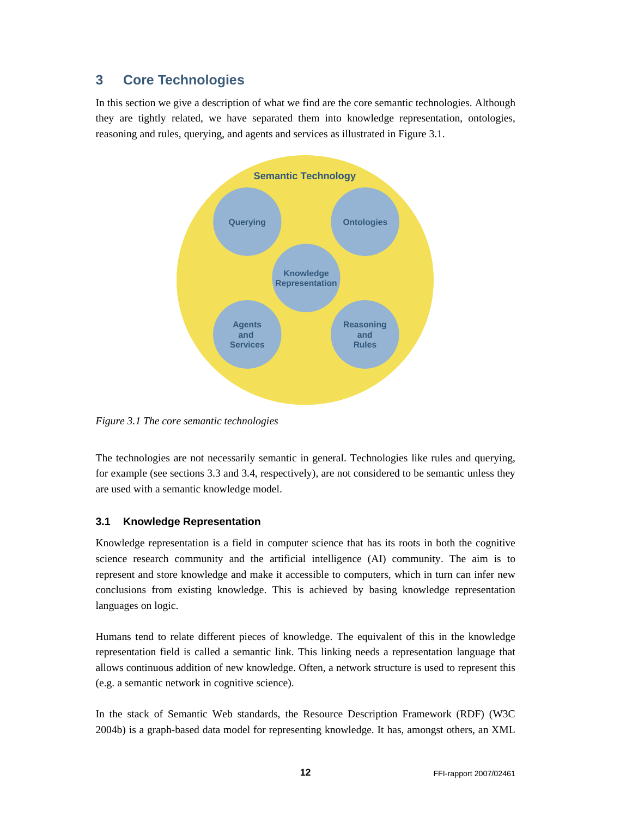## **3 Core Technologies**

In this section we give a description of what we find are the core semantic technologies. Although they are tightly related, we have separated them into knowledge representation, ontologies, reasoning and rules, querying, and agents and services as illustrated in Figure 3.1.



*Figure 3.1 The core semantic technologies* 

The technologies are not necessarily semantic in general. Technologies like rules and querying, for example (see sections 3.3 and 3.4, respectively), are not considered to be semantic unless they are used with a semantic knowledge model.

### **3.1 Knowledge Representation**

Knowledge representation is a field in computer science that has its roots in both the cognitive science research community and the artificial intelligence (AI) community. The aim is to represent and store knowledge and make it accessible to computers, which in turn can infer new conclusions from existing knowledge. This is achieved by basing knowledge representation languages on logic.

Humans tend to relate different pieces of knowledge. The equivalent of this in the knowledge representation field is called a semantic link. This linking needs a representation language that allows continuous addition of new knowledge. Often, a network structure is used to represent this (e.g. a semantic network in cognitive science).

In the stack of Semantic Web standards, the Resource Description Framework (RDF) (W3C 2004b) is a graph-based data model for representing knowledge. It has, amongst others, an XML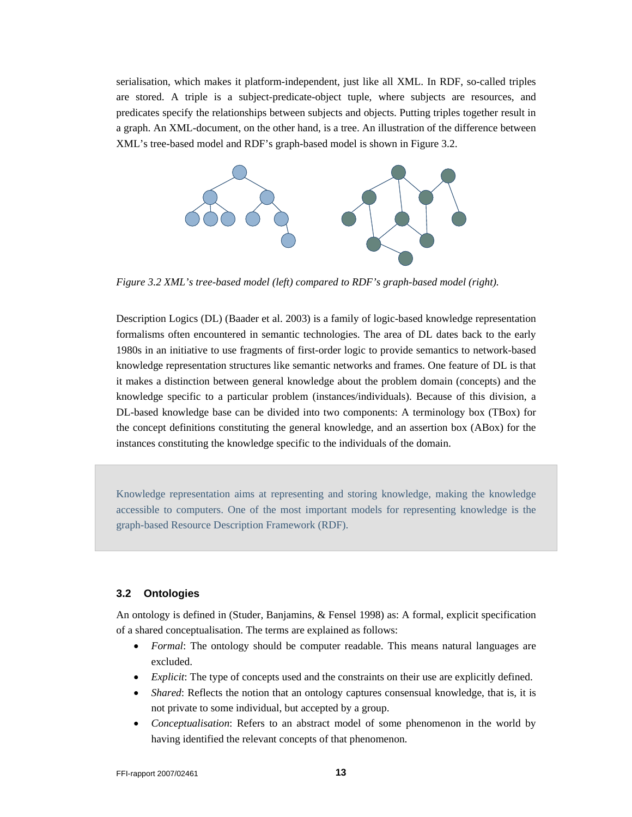serialisation, which makes it platform-independent, just like all XML. In RDF, so-called triples are stored. A triple is a subject-predicate-object tuple, where subjects are resources, and predicates specify the relationships between subjects and objects. Putting triples together result in a graph. An XML-document, on the other hand, is a tree. An illustration of the difference between XML's tree-based model and RDF's graph-based model is shown in Figure 3.2.



*Figure 3.2 XML's tree-based model (left) compared to RDF's graph-based model (right).* 

Description Logics (DL) (Baader et al. 2003) is a family of logic-based knowledge representation formalisms often encountered in semantic technologies. The area of DL dates back to the early 1980s in an initiative to use fragments of first-order logic to provide semantics to network-based knowledge representation structures like semantic networks and frames. One feature of DL is that it makes a distinction between general knowledge about the problem domain (concepts) and the knowledge specific to a particular problem (instances/individuals). Because of this division, a DL-based knowledge base can be divided into two components: A terminology box (TBox) for the concept definitions constituting the general knowledge, and an assertion box (ABox) for the instances constituting the knowledge specific to the individuals of the domain.

Knowledge representation aims at representing and storing knowledge, making the knowledge accessible to computers. One of the most important models for representing knowledge is the graph-based Resource Description Framework (RDF).

#### **3.2 Ontologies**

An ontology is defined in (Studer, Banjamins, & Fensel 1998) as: A formal, explicit specification of a shared conceptualisation. The terms are explained as follows:

- *Formal*: The ontology should be computer readable. This means natural languages are excluded.
- *Explicit:* The type of concepts used and the constraints on their use are explicitly defined.
- *Shared*: Reflects the notion that an ontology captures consensual knowledge, that is, it is not private to some individual, but accepted by a group.
- *Conceptualisation*: Refers to an abstract model of some phenomenon in the world by having identified the relevant concepts of that phenomenon.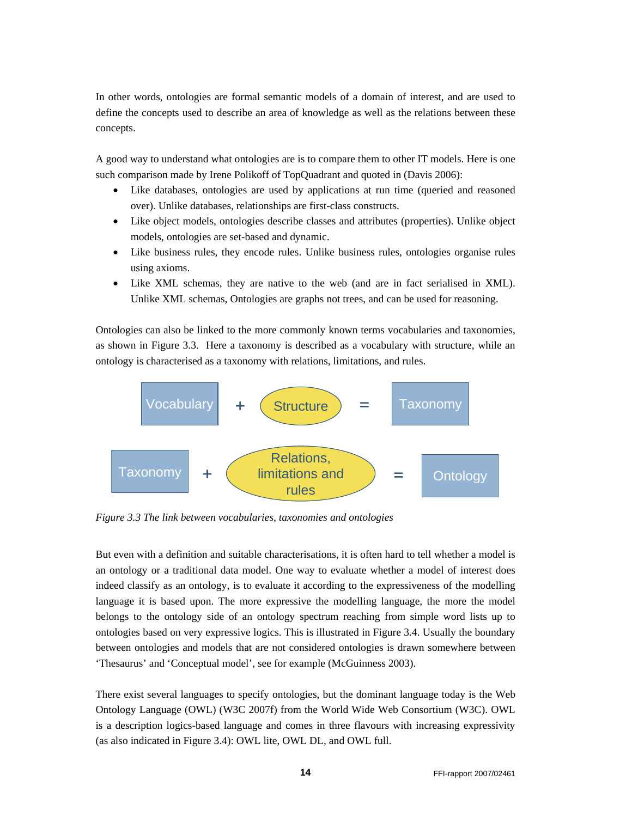In other words, ontologies are formal semantic models of a domain of interest, and are used to define the concepts used to describe an area of knowledge as well as the relations between these concepts.

A good way to understand what ontologies are is to compare them to other IT models. Here is one such comparison made by Irene Polikoff of TopQuadrant and quoted in (Davis 2006):

- Like databases, ontologies are used by applications at run time (queried and reasoned over). Unlike databases, relationships are first-class constructs.
- Like object models, ontologies describe classes and attributes (properties). Unlike object models, ontologies are set-based and dynamic.
- Like business rules, they encode rules. Unlike business rules, ontologies organise rules using axioms.
- Like XML schemas, they are native to the web (and are in fact serialised in XML). Unlike XML schemas, Ontologies are graphs not trees, and can be used for reasoning.

Ontologies can also be linked to the more commonly known terms vocabularies and taxonomies, as shown in Figure 3.3. Here a taxonomy is described as a vocabulary with structure, while an ontology is characterised as a taxonomy with relations, limitations, and rules.



*Figure 3.3 The link between vocabularies, taxonomies and ontologies* 

But even with a definition and suitable characterisations, it is often hard to tell whether a model is an ontology or a traditional data model. One way to evaluate whether a model of interest does indeed classify as an ontology, is to evaluate it according to the expressiveness of the modelling language it is based upon. The more expressive the modelling language, the more the model belongs to the ontology side of an ontology spectrum reaching from simple word lists up to ontologies based on very expressive logics. This is illustrated in Figure 3.4. Usually the boundary between ontologies and models that are not considered ontologies is drawn somewhere between 'Thesaurus' and 'Conceptual model', see for example (McGuinness 2003).

There exist several languages to specify ontologies, but the dominant language today is the Web Ontology Language (OWL) (W3C 2007f) from the World Wide Web Consortium (W3C). OWL is a description logics-based language and comes in three flavours with increasing expressivity (as also indicated in Figure 3.4): OWL lite, OWL DL, and OWL full.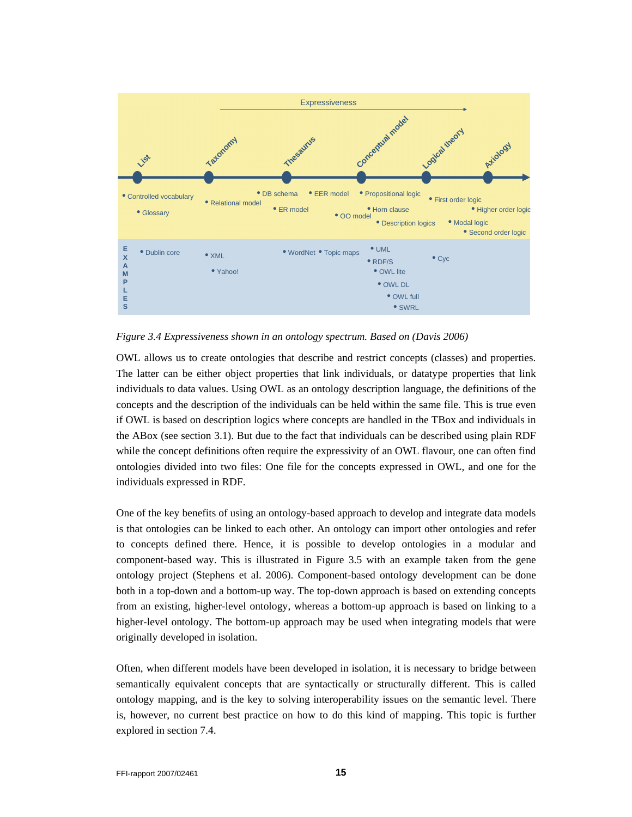

*Figure 3.4 Expressiveness shown in an ontology spectrum. Based on (Davis 2006)* 

OWL allows us to create ontologies that describe and restrict concepts (classes) and properties. The latter can be either object properties that link individuals, or datatype properties that link individuals to data values. Using OWL as an ontology description language, the definitions of the concepts and the description of the individuals can be held within the same file. This is true even if OWL is based on description logics where concepts are handled in the TBox and individuals in the ABox (see section 3.1). But due to the fact that individuals can be described using plain RDF while the concept definitions often require the expressivity of an OWL flavour, one can often find ontologies divided into two files: One file for the concepts expressed in OWL, and one for the individuals expressed in RDF.

One of the key benefits of using an ontology-based approach to develop and integrate data models is that ontologies can be linked to each other. An ontology can import other ontologies and refer to concepts defined there. Hence, it is possible to develop ontologies in a modular and component-based way. This is illustrated in Figure 3.5 with an example taken from the gene ontology project (Stephens et al. 2006). Component-based ontology development can be done both in a top-down and a bottom-up way. The top-down approach is based on extending concepts from an existing, higher-level ontology, whereas a bottom-up approach is based on linking to a higher-level ontology. The bottom-up approach may be used when integrating models that were originally developed in isolation.

Often, when different models have been developed in isolation, it is necessary to bridge between semantically equivalent concepts that are syntactically or structurally different. This is called ontology mapping, and is the key to solving interoperability issues on the semantic level. There is, however, no current best practice on how to do this kind of mapping. This topic is further explored in section 7.4.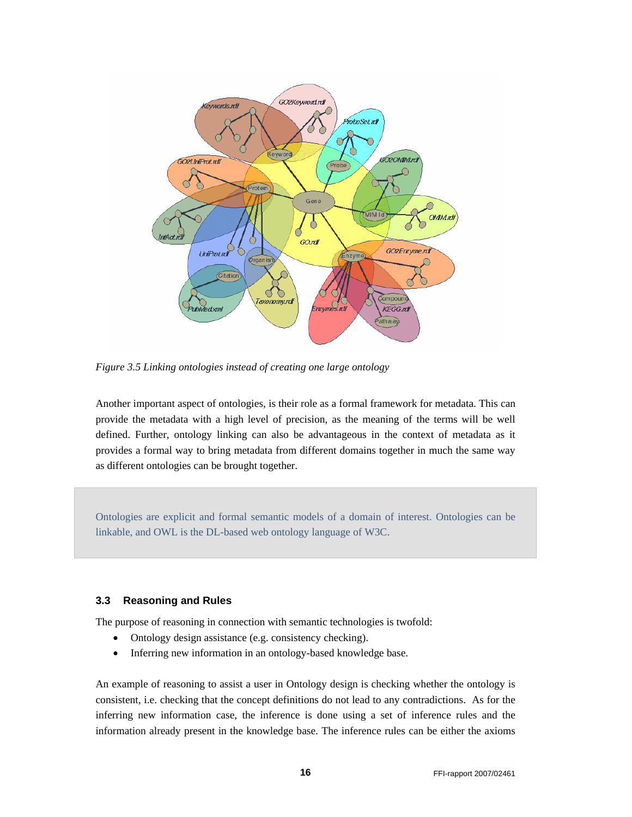

*Figure 3.5 Linking ontologies instead of creating one large ontology* 

Another important aspect of ontologies, is their role as a formal framework for metadata. This can provide the metadata with a high level of precision, as the meaning of the terms will be well defined. Further, ontology linking can also be advantageous in the context of metadata as it provides a formal way to bring metadata from different domains together in much the same way as different ontologies can be brought together.

Ontologies are explicit and formal semantic models of a domain of interest. Ontologies can be linkable, and OWL is the DL-based web ontology language of W3C.

#### **3.3 Reasoning and Rules**

The purpose of reasoning in connection with semantic technologies is twofold:

- Ontology design assistance (e.g. consistency checking).
- Inferring new information in an ontology-based knowledge base.

An example of reasoning to assist a user in Ontology design is checking whether the ontology is consistent, i.e. checking that the concept definitions do not lead to any contradictions. As for the inferring new information case, the inference is done using a set of inference rules and the information already present in the knowledge base. The inference rules can be either the axioms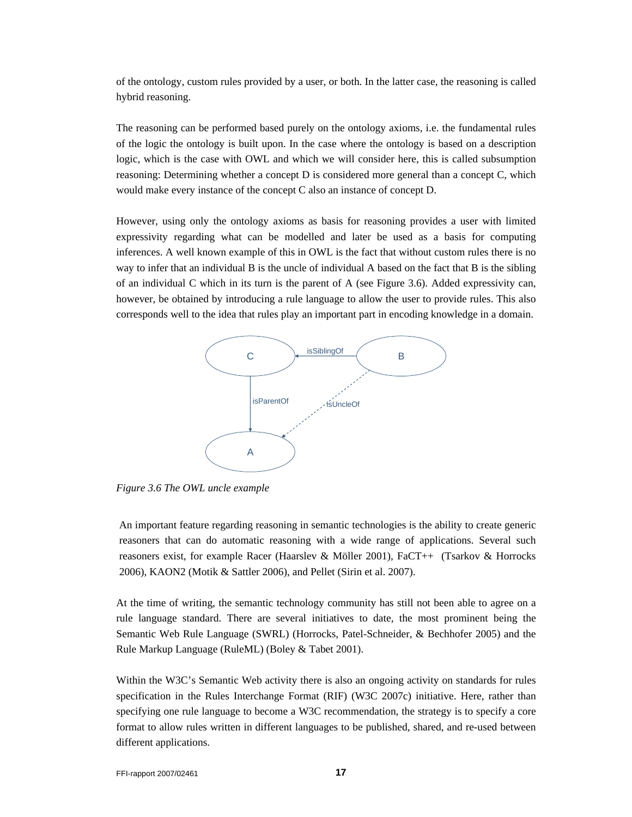of the ontology, custom rules provided by a user, or both. In the latter case, the reasoning is called hybrid reasoning.

The reasoning can be performed based purely on the ontology axioms, i.e. the fundamental rules of the logic the ontology is built upon. In the case where the ontology is based on a description logic, which is the case with OWL and which we will consider here, this is called subsumption reasoning: Determining whether a concept D is considered more general than a concept C, which would make every instance of the concept C also an instance of concept D.

However, using only the ontology axioms as basis for reasoning provides a user with limited expressivity regarding what can be modelled and later be used as a basis for computing inferences. A well known example of this in OWL is the fact that without custom rules there is no way to infer that an individual B is the uncle of individual A based on the fact that B is the sibling of an individual C which in its turn is the parent of A (see Figure 3.6). Added expressivity can, however, be obtained by introducing a rule language to allow the user to provide rules. This also corresponds well to the idea that rules play an important part in encoding knowledge in a domain.



*Figure 3.6 The OWL uncle example* 

An important feature regarding reasoning in semantic technologies is the ability to create generic reasoners that can do automatic reasoning with a wide range of applications. Several such reasoners exist, for example Racer (Haarslev & Möller 2001), FaCT++ (Tsarkov & Horrocks 2006), KAON2 (Motik & Sattler 2006), and Pellet (Sirin et al. 2007).

At the time of writing, the semantic technology community has still not been able to agree on a rule language standard. There are several initiatives to date, the most prominent being the Semantic Web Rule Language (SWRL) (Horrocks, Patel-Schneider, & Bechhofer 2005) and the Rule Markup Language (RuleML) (Boley & Tabet 2001).

Within the W3C's Semantic Web activity there is also an ongoing activity on standards for rules specification in the Rules Interchange Format (RIF) (W3C 2007c) initiative. Here, rather than specifying one rule language to become a W3C recommendation, the strategy is to specify a core format to allow rules written in different languages to be published, shared, and re-used between different applications.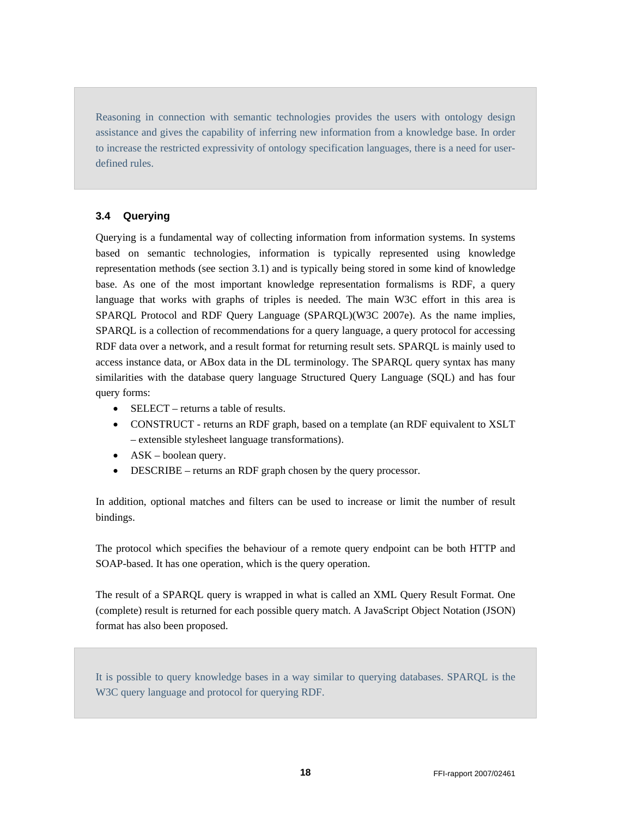Reasoning in connection with semantic technologies provides the users with ontology design assistance and gives the capability of inferring new information from a knowledge base. In order to increase the restricted expressivity of ontology specification languages, there is a need for userdefined rules.

#### **3.4 Querying**

Querying is a fundamental way of collecting information from information systems. In systems based on semantic technologies, information is typically represented using knowledge representation methods (see section 3.1) and is typically being stored in some kind of knowledge base. As one of the most important knowledge representation formalisms is RDF, a query language that works with graphs of triples is needed. The main W3C effort in this area is SPARQL Protocol and RDF Query Language (SPARQL)(W3C 2007e). As the name implies, SPARQL is a collection of recommendations for a query language, a query protocol for accessing RDF data over a network, and a result format for returning result sets. SPARQL is mainly used to access instance data, or ABox data in the DL terminology. The SPARQL query syntax has many similarities with the database query language Structured Query Language (SQL) and has four query forms:

- SELECT returns a table of results.
- CONSTRUCT returns an RDF graph, based on a template (an RDF equivalent to XSLT – extensible stylesheet language transformations).
- ASK boolean query.
- DESCRIBE returns an RDF graph chosen by the query processor.

In addition, optional matches and filters can be used to increase or limit the number of result bindings.

The protocol which specifies the behaviour of a remote query endpoint can be both HTTP and SOAP-based. It has one operation, which is the query operation.

The result of a SPARQL query is wrapped in what is called an XML Query Result Format. One (complete) result is returned for each possible query match. A JavaScript Object Notation (JSON) format has also been proposed.

It is possible to query knowledge bases in a way similar to querying databases. SPARQL is the W3C query language and protocol for querying RDF.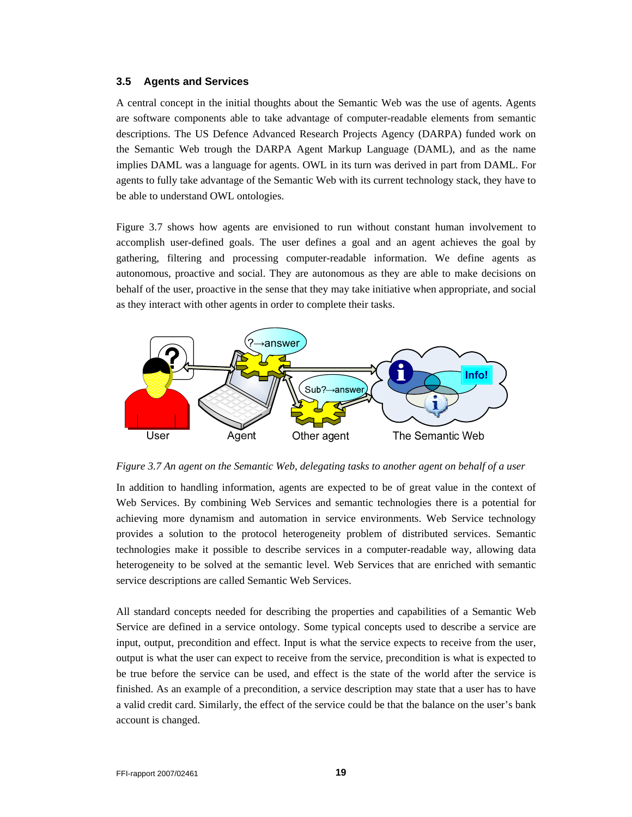#### **3.5 Agents and Services**

A central concept in the initial thoughts about the Semantic Web was the use of agents. Agents are software components able to take advantage of computer-readable elements from semantic descriptions. The US Defence Advanced Research Projects Agency (DARPA) funded work on the Semantic Web trough the DARPA Agent Markup Language (DAML), and as the name implies DAML was a language for agents. OWL in its turn was derived in part from DAML. For agents to fully take advantage of the Semantic Web with its current technology stack, they have to be able to understand OWL ontologies.

Figure 3.7 shows how agents are envisioned to run without constant human involvement to accomplish user-defined goals. The user defines a goal and an agent achieves the goal by gathering, filtering and processing computer-readable information. We define agents as autonomous, proactive and social. They are autonomous as they are able to make decisions on behalf of the user, proactive in the sense that they may take initiative when appropriate, and social as they interact with other agents in order to complete their tasks.



*Figure 3.7 An agent on the Semantic Web, delegating tasks to another agent on behalf of a user* 

In addition to handling information, agents are expected to be of great value in the context of Web Services. By combining Web Services and semantic technologies there is a potential for achieving more dynamism and automation in service environments. Web Service technology provides a solution to the protocol heterogeneity problem of distributed services. Semantic technologies make it possible to describe services in a computer-readable way, allowing data heterogeneity to be solved at the semantic level. Web Services that are enriched with semantic service descriptions are called Semantic Web Services.

All standard concepts needed for describing the properties and capabilities of a Semantic Web Service are defined in a service ontology. Some typical concepts used to describe a service are input, output, precondition and effect. Input is what the service expects to receive from the user, output is what the user can expect to receive from the service, precondition is what is expected to be true before the service can be used, and effect is the state of the world after the service is finished. As an example of a precondition, a service description may state that a user has to have a valid credit card. Similarly, the effect of the service could be that the balance on the user's bank account is changed.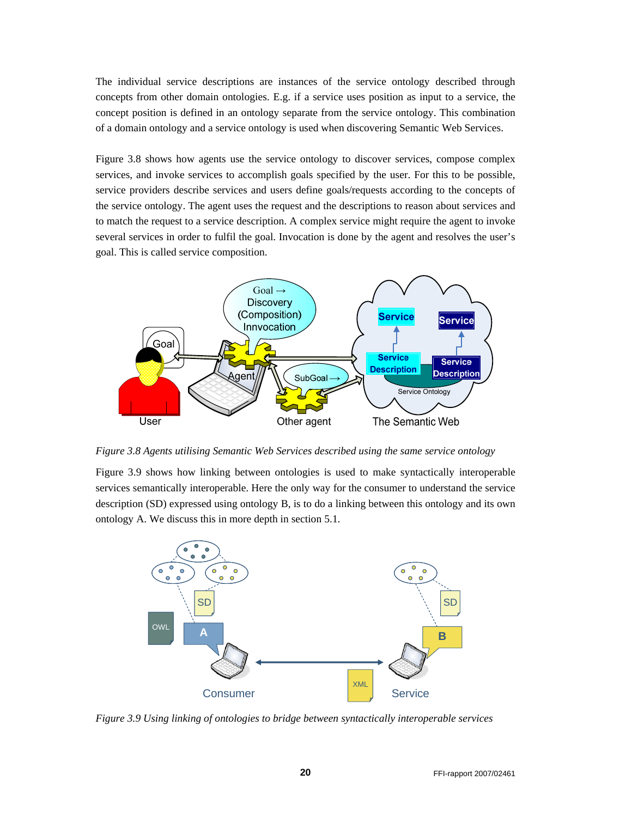The individual service descriptions are instances of the service ontology described through concepts from other domain ontologies. E.g. if a service uses position as input to a service, the concept position is defined in an ontology separate from the service ontology. This combination of a domain ontology and a service ontology is used when discovering Semantic Web Services.

Figure 3.8 shows how agents use the service ontology to discover services, compose complex services, and invoke services to accomplish goals specified by the user. For this to be possible, service providers describe services and users define goals/requests according to the concepts of the service ontology. The agent uses the request and the descriptions to reason about services and to match the request to a service description. A complex service might require the agent to invoke several services in order to fulfil the goal. Invocation is done by the agent and resolves the user's goal. This is called service composition.



*Figure 3.8 Agents utilising Semantic Web Services described using the same service ontology* 

Figure 3.9 shows how linking between ontologies is used to make syntactically interoperable services semantically interoperable. Here the only way for the consumer to understand the service description (SD) expressed using ontology B, is to do a linking between this ontology and its own ontology A. We discuss this in more depth in section 5.1.



*Figure 3.9 Using linking of ontologies to bridge between syntactically interoperable services*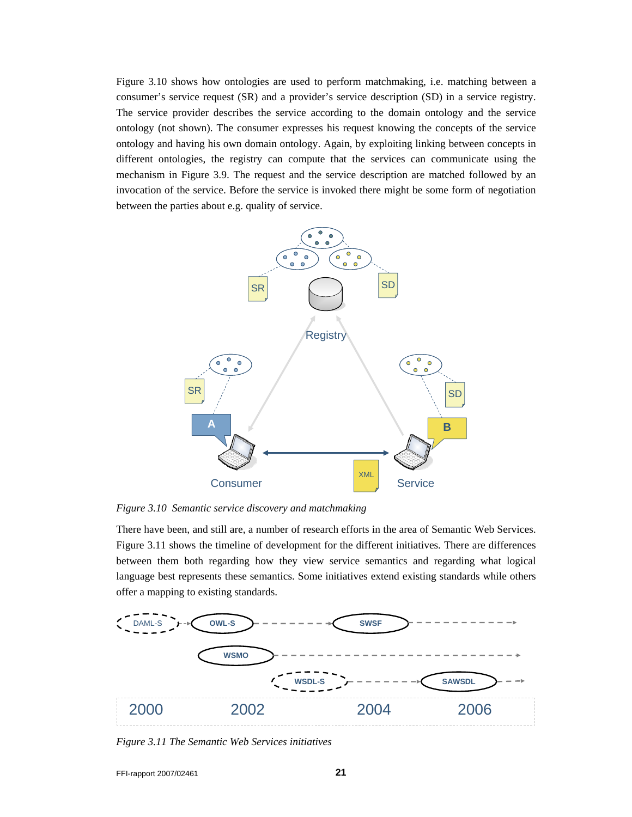Figure 3.10 shows how ontologies are used to perform matchmaking, i.e. matching between a consumer's service request (SR) and a provider's service description (SD) in a service registry. The service provider describes the service according to the domain ontology and the service ontology (not shown). The consumer expresses his request knowing the concepts of the service ontology and having his own domain ontology. Again, by exploiting linking between concepts in different ontologies, the registry can compute that the services can communicate using the mechanism in Figure 3.9. The request and the service description are matched followed by an invocation of the service. Before the service is invoked there might be some form of negotiation between the parties about e.g. quality of service.



*Figure 3.10 Semantic service discovery and matchmaking* 

There have been, and still are, a number of research efforts in the area of Semantic Web Services. Figure 3.11 shows the timeline of development for the different initiatives. There are differences between them both regarding how they view service semantics and regarding what logical language best represents these semantics. Some initiatives extend existing standards while others offer a mapping to existing standards.



*Figure 3.11 The Semantic Web Services initiatives*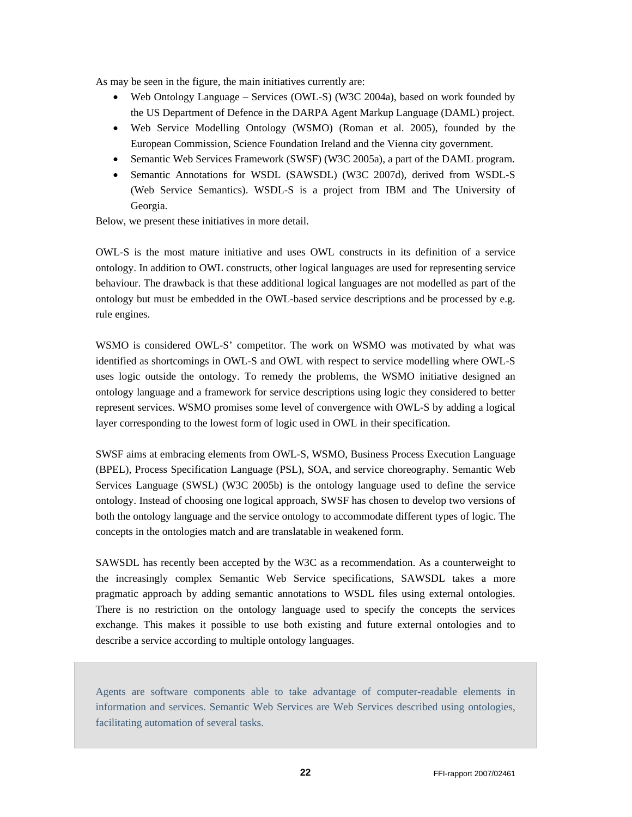As may be seen in the figure, the main initiatives currently are:

- Web Ontology Language Services (OWL-S) (W3C 2004a), based on work founded by the US Department of Defence in the DARPA Agent Markup Language (DAML) project.
- Web Service Modelling Ontology (WSMO) (Roman et al. 2005), founded by the European Commission, Science Foundation Ireland and the Vienna city government.
- Semantic Web Services Framework (SWSF) (W3C 2005a), a part of the DAML program.
- Semantic Annotations for WSDL (SAWSDL) (W3C 2007d), derived from WSDL-S (Web Service Semantics). WSDL-S is a project from IBM and The University of Georgia.

Below, we present these initiatives in more detail.

OWL-S is the most mature initiative and uses OWL constructs in its definition of a service ontology. In addition to OWL constructs, other logical languages are used for representing service behaviour. The drawback is that these additional logical languages are not modelled as part of the ontology but must be embedded in the OWL-based service descriptions and be processed by e.g. rule engines.

WSMO is considered OWL-S' competitor. The work on WSMO was motivated by what was identified as shortcomings in OWL-S and OWL with respect to service modelling where OWL-S uses logic outside the ontology. To remedy the problems, the WSMO initiative designed an ontology language and a framework for service descriptions using logic they considered to better represent services. WSMO promises some level of convergence with OWL-S by adding a logical layer corresponding to the lowest form of logic used in OWL in their specification.

SWSF aims at embracing elements from OWL-S, WSMO, Business Process Execution Language (BPEL), Process Specification Language (PSL), SOA, and service choreography. Semantic Web Services Language (SWSL) (W3C 2005b) is the ontology language used to define the service ontology. Instead of choosing one logical approach, SWSF has chosen to develop two versions of both the ontology language and the service ontology to accommodate different types of logic. The concepts in the ontologies match and are translatable in weakened form.

SAWSDL has recently been accepted by the W3C as a recommendation. As a counterweight to the increasingly complex Semantic Web Service specifications, SAWSDL takes a more pragmatic approach by adding semantic annotations to WSDL files using external ontologies. There is no restriction on the ontology language used to specify the concepts the services exchange. This makes it possible to use both existing and future external ontologies and to describe a service according to multiple ontology languages.

Agents are software components able to take advantage of computer-readable elements in information and services. Semantic Web Services are Web Services described using ontologies, facilitating automation of several tasks.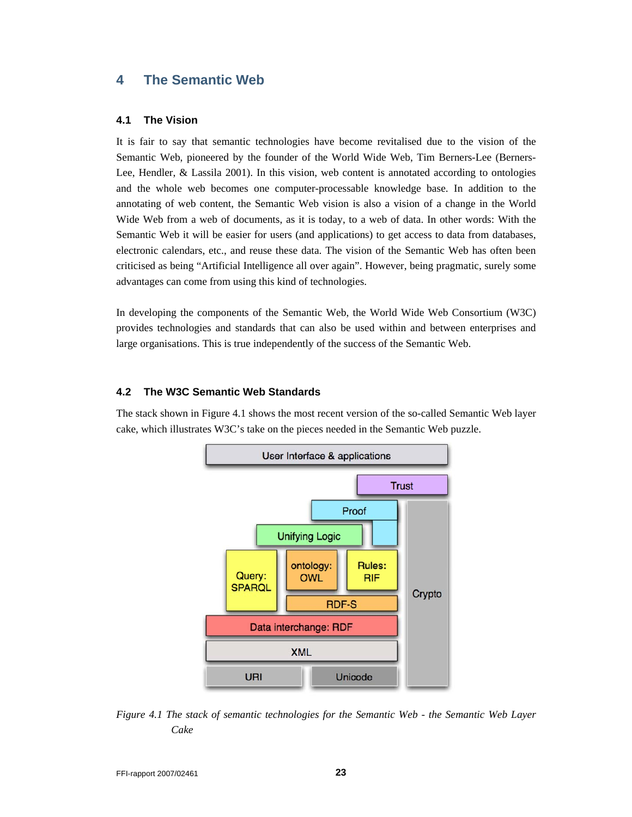## **4 The Semantic Web**

#### **4.1 The Vision**

It is fair to say that semantic technologies have become revitalised due to the vision of the Semantic Web, pioneered by the founder of the World Wide Web, Tim Berners-Lee (Berners-Lee, Hendler, & Lassila 2001). In this vision, web content is annotated according to ontologies and the whole web becomes one computer-processable knowledge base. In addition to the annotating of web content, the Semantic Web vision is also a vision of a change in the World Wide Web from a web of documents, as it is today, to a web of data. In other words: With the Semantic Web it will be easier for users (and applications) to get access to data from databases, electronic calendars, etc., and reuse these data. The vision of the Semantic Web has often been criticised as being "Artificial Intelligence all over again". However, being pragmatic, surely some advantages can come from using this kind of technologies.

In developing the components of the Semantic Web, the World Wide Web Consortium (W3C) provides technologies and standards that can also be used within and between enterprises and large organisations. This is true independently of the success of the Semantic Web.

#### **4.2 The W3C Semantic Web Standards**

The stack shown in Figure 4.1 shows the most recent version of the so-called Semantic Web layer cake, which illustrates W3C's take on the pieces needed in the Semantic Web puzzle.



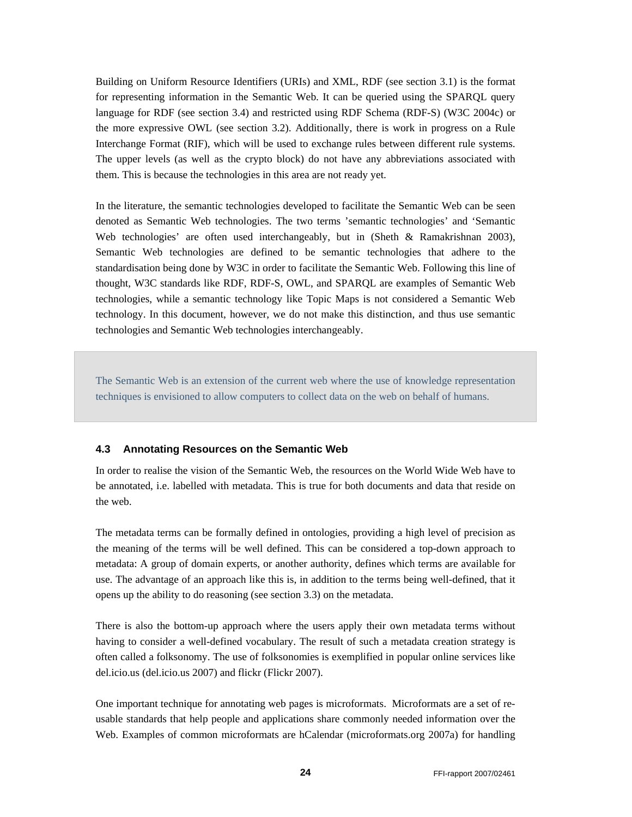Building on Uniform Resource Identifiers (URIs) and XML, RDF (see section 3.1) is the format for representing information in the Semantic Web. It can be queried using the SPARQL query language for RDF (see section 3.4) and restricted using RDF Schema (RDF-S) (W3C 2004c) or the more expressive OWL (see section 3.2). Additionally, there is work in progress on a Rule Interchange Format (RIF), which will be used to exchange rules between different rule systems. The upper levels (as well as the crypto block) do not have any abbreviations associated with them. This is because the technologies in this area are not ready yet.

In the literature, the semantic technologies developed to facilitate the Semantic Web can be seen denoted as Semantic Web technologies. The two terms 'semantic technologies' and 'Semantic Web technologies' are often used interchangeably, but in (Sheth & Ramakrishnan 2003), Semantic Web technologies are defined to be semantic technologies that adhere to the standardisation being done by W3C in order to facilitate the Semantic Web. Following this line of thought, W3C standards like RDF, RDF-S, OWL, and SPARQL are examples of Semantic Web technologies, while a semantic technology like Topic Maps is not considered a Semantic Web technology. In this document, however, we do not make this distinction, and thus use semantic technologies and Semantic Web technologies interchangeably.

The Semantic Web is an extension of the current web where the use of knowledge representation techniques is envisioned to allow computers to collect data on the web on behalf of humans.

#### **4.3 Annotating Resources on the Semantic Web**

In order to realise the vision of the Semantic Web, the resources on the World Wide Web have to be annotated, i.e. labelled with metadata. This is true for both documents and data that reside on the web.

The metadata terms can be formally defined in ontologies, providing a high level of precision as the meaning of the terms will be well defined. This can be considered a top-down approach to metadata: A group of domain experts, or another authority, defines which terms are available for use. The advantage of an approach like this is, in addition to the terms being well-defined, that it opens up the ability to do reasoning (see section 3.3) on the metadata.

There is also the bottom-up approach where the users apply their own metadata terms without having to consider a well-defined vocabulary. The result of such a metadata creation strategy is often called a folksonomy. The use of folksonomies is exemplified in popular online services like del.icio.us (del.icio.us 2007) and flickr (Flickr 2007).

One important technique for annotating web pages is microformats. Microformats are a set of reusable standards that help people and applications share commonly needed information over the Web. Examples of common microformats are hCalendar (microformats.org 2007a) for handling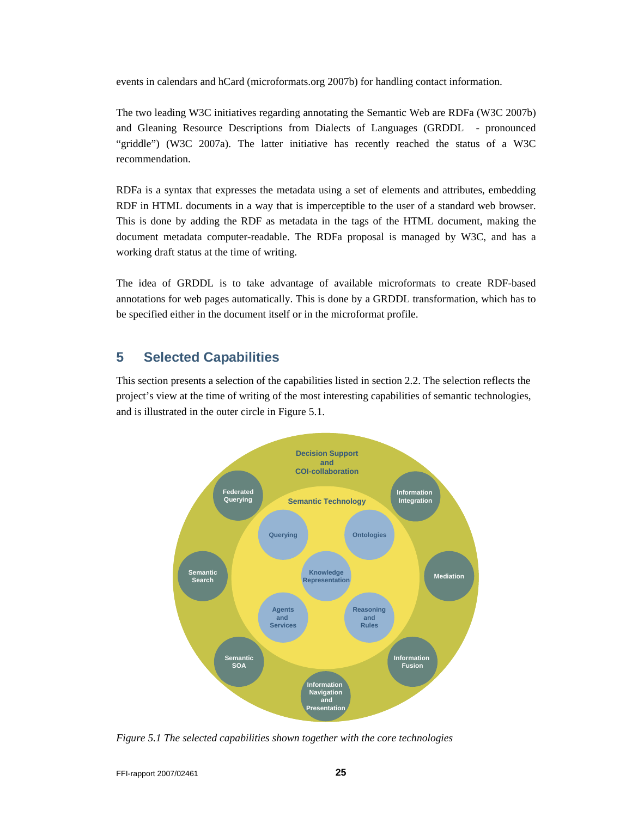events in calendars and hCard (microformats.org 2007b) for handling contact information.

The two leading W3C initiatives regarding annotating the Semantic Web are RDFa (W3C 2007b) and Gleaning Resource Descriptions from Dialects of Languages (GRDDL - pronounced "griddle") (W3C 2007a). The latter initiative has recently reached the status of a W3C recommendation.

RDFa is a syntax that expresses the metadata using a set of elements and attributes, embedding RDF in HTML documents in a way that is imperceptible to the user of a standard web browser. This is done by adding the RDF as metadata in the tags of the HTML document, making the document metadata computer-readable. The RDFa proposal is managed by W3C, and has a working draft status at the time of writing.

The idea of GRDDL is to take advantage of available microformats to create RDF-based annotations for web pages automatically. This is done by a GRDDL transformation, which has to be specified either in the document itself or in the microformat profile.

## **5 Selected Capabilities**

This section presents a selection of the capabilities listed in section 2.2. The selection reflects the project's view at the time of writing of the most interesting capabilities of semantic technologies, and is illustrated in the outer circle in Figure 5.1.



*Figure 5.1 The selected capabilities shown together with the core technologies*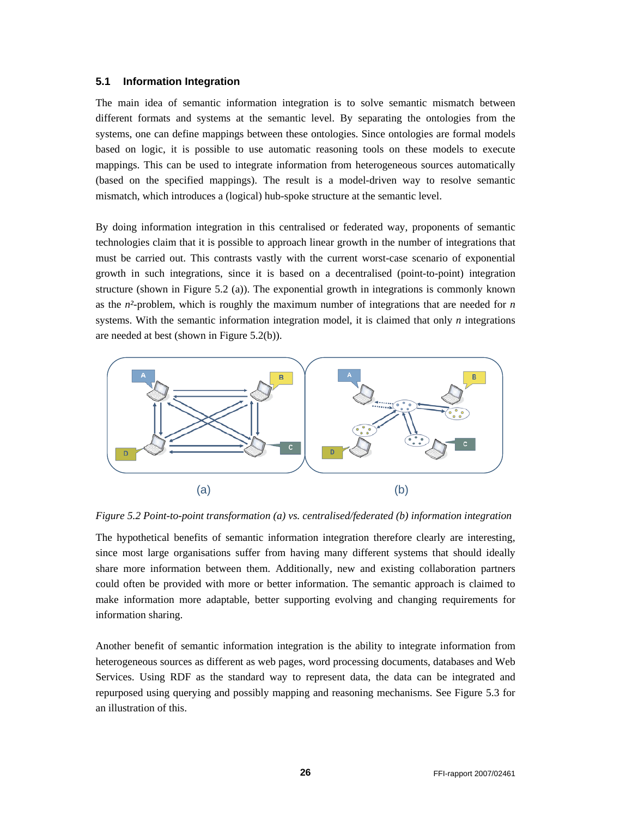#### **5.1 Information Integration**

The main idea of semantic information integration is to solve semantic mismatch between different formats and systems at the semantic level. By separating the ontologies from the systems, one can define mappings between these ontologies. Since ontologies are formal models based on logic, it is possible to use automatic reasoning tools on these models to execute mappings. This can be used to integrate information from heterogeneous sources automatically (based on the specified mappings). The result is a model-driven way to resolve semantic mismatch, which introduces a (logical) hub-spoke structure at the semantic level.

By doing information integration in this centralised or federated way, proponents of semantic technologies claim that it is possible to approach linear growth in the number of integrations that must be carried out. This contrasts vastly with the current worst-case scenario of exponential growth in such integrations, since it is based on a decentralised (point-to-point) integration structure (shown in Figure 5.2 (a)). The exponential growth in integrations is commonly known as the *n²*-problem, which is roughly the maximum number of integrations that are needed for *n*  systems. With the semantic information integration model, it is claimed that only *n* integrations are needed at best (shown in Figure 5.2(b)).



*Figure 5.2 Point-to-point transformation (a) vs. centralised/federated (b) information integration* 

The hypothetical benefits of semantic information integration therefore clearly are interesting, since most large organisations suffer from having many different systems that should ideally share more information between them. Additionally, new and existing collaboration partners could often be provided with more or better information. The semantic approach is claimed to make information more adaptable, better supporting evolving and changing requirements for information sharing.

Another benefit of semantic information integration is the ability to integrate information from heterogeneous sources as different as web pages, word processing documents, databases and Web Services. Using RDF as the standard way to represent data, the data can be integrated and repurposed using querying and possibly mapping and reasoning mechanisms. See Figure 5.3 for an illustration of this.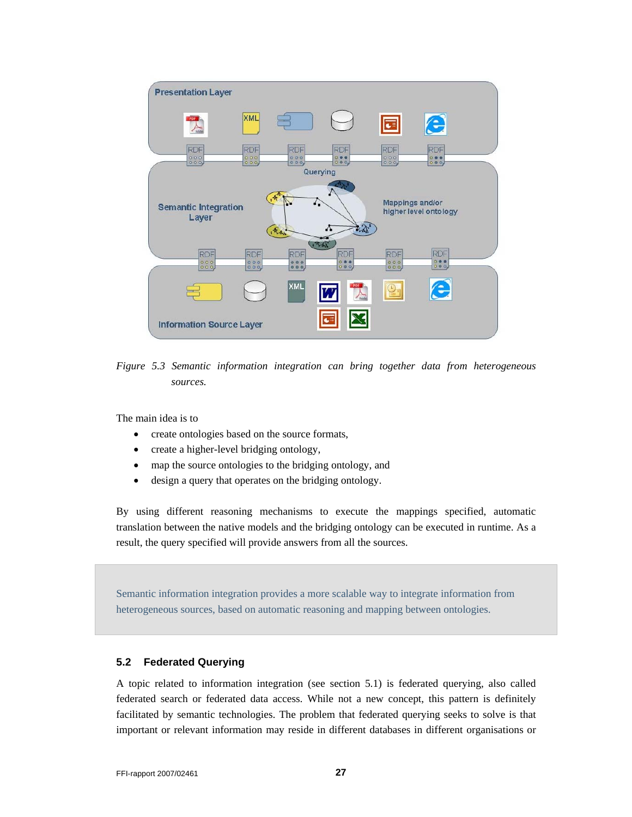

*Figure 5.3 Semantic information integration can bring together data from heterogeneous sources.* 

The main idea is to

- create ontologies based on the source formats,
- create a higher-level bridging ontology,
- map the source ontologies to the bridging ontology, and
- design a query that operates on the bridging ontology.

By using different reasoning mechanisms to execute the mappings specified, automatic translation between the native models and the bridging ontology can be executed in runtime. As a result, the query specified will provide answers from all the sources.

Semantic information integration provides a more scalable way to integrate information from heterogeneous sources, based on automatic reasoning and mapping between ontologies.

#### **5.2 Federated Querying**

A topic related to information integration (see section 5.1) is federated querying, also called federated search or federated data access. While not a new concept, this pattern is definitely facilitated by semantic technologies. The problem that federated querying seeks to solve is that important or relevant information may reside in different databases in different organisations or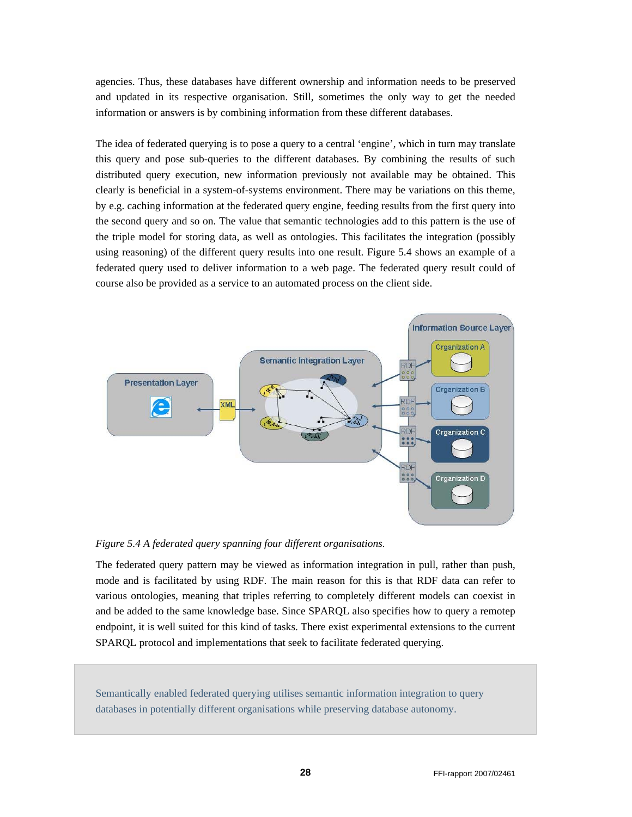agencies. Thus, these databases have different ownership and information needs to be preserved and updated in its respective organisation. Still, sometimes the only way to get the needed information or answers is by combining information from these different databases.

The idea of federated querying is to pose a query to a central 'engine', which in turn may translate this query and pose sub-queries to the different databases. By combining the results of such distributed query execution, new information previously not available may be obtained. This clearly is beneficial in a system-of-systems environment. There may be variations on this theme, by e.g. caching information at the federated query engine, feeding results from the first query into the second query and so on. The value that semantic technologies add to this pattern is the use of the triple model for storing data, as well as ontologies. This facilitates the integration (possibly using reasoning) of the different query results into one result. Figure 5.4 shows an example of a federated query used to deliver information to a web page. The federated query result could of course also be provided as a service to an automated process on the client side.



*Figure 5.4 A federated query spanning four different organisations.* 

The federated query pattern may be viewed as information integration in pull, rather than push, mode and is facilitated by using RDF. The main reason for this is that RDF data can refer to various ontologies, meaning that triples referring to completely different models can coexist in and be added to the same knowledge base. Since SPARQL also specifies how to query a remotep endpoint, it is well suited for this kind of tasks. There exist experimental extensions to the current SPARQL protocol and implementations that seek to facilitate federated querying.

Semantically enabled federated querying utilises semantic information integration to query databases in potentially different organisations while preserving database autonomy.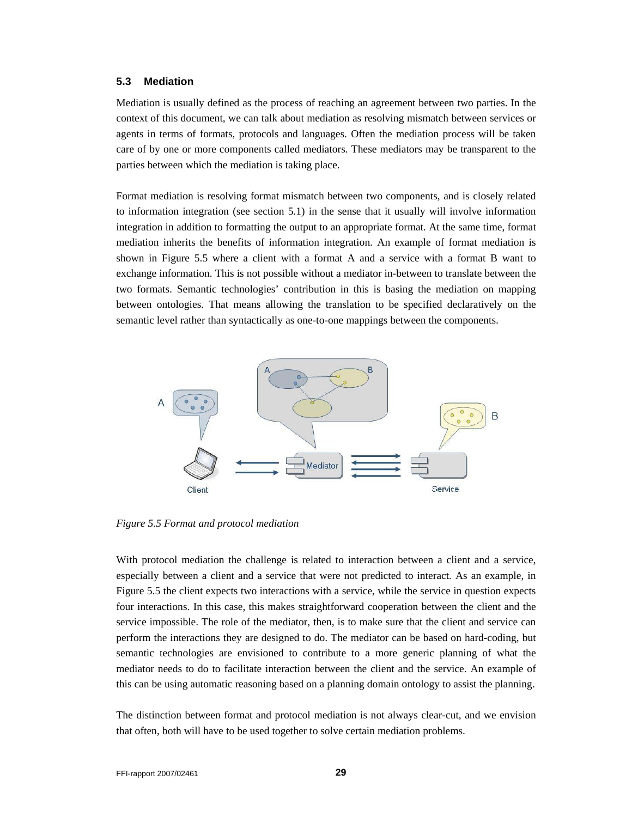#### **5.3 Mediation**

Mediation is usually defined as the process of reaching an agreement between two parties. In the context of this document, we can talk about mediation as resolving mismatch between services or agents in terms of formats, protocols and languages. Often the mediation process will be taken care of by one or more components called mediators. These mediators may be transparent to the parties between which the mediation is taking place.

Format mediation is resolving format mismatch between two components, and is closely related to information integration (see section 5.1) in the sense that it usually will involve information integration in addition to formatting the output to an appropriate format. At the same time, format mediation inherits the benefits of information integration. An example of format mediation is shown in Figure 5.5 where a client with a format A and a service with a format B want to exchange information. This is not possible without a mediator in-between to translate between the two formats. Semantic technologies' contribution in this is basing the mediation on mapping between ontologies. That means allowing the translation to be specified declaratively on the semantic level rather than syntactically as one-to-one mappings between the components.



*Figure 5.5 Format and protocol mediation* 

With protocol mediation the challenge is related to interaction between a client and a service, especially between a client and a service that were not predicted to interact. As an example, in Figure 5.5 the client expects two interactions with a service, while the service in question expects four interactions. In this case, this makes straightforward cooperation between the client and the service impossible. The role of the mediator, then, is to make sure that the client and service can perform the interactions they are designed to do. The mediator can be based on hard-coding, but semantic technologies are envisioned to contribute to a more generic planning of what the mediator needs to do to facilitate interaction between the client and the service. An example of this can be using automatic reasoning based on a planning domain ontology to assist the planning.

The distinction between format and protocol mediation is not always clear-cut, and we envision that often, both will have to be used together to solve certain mediation problems.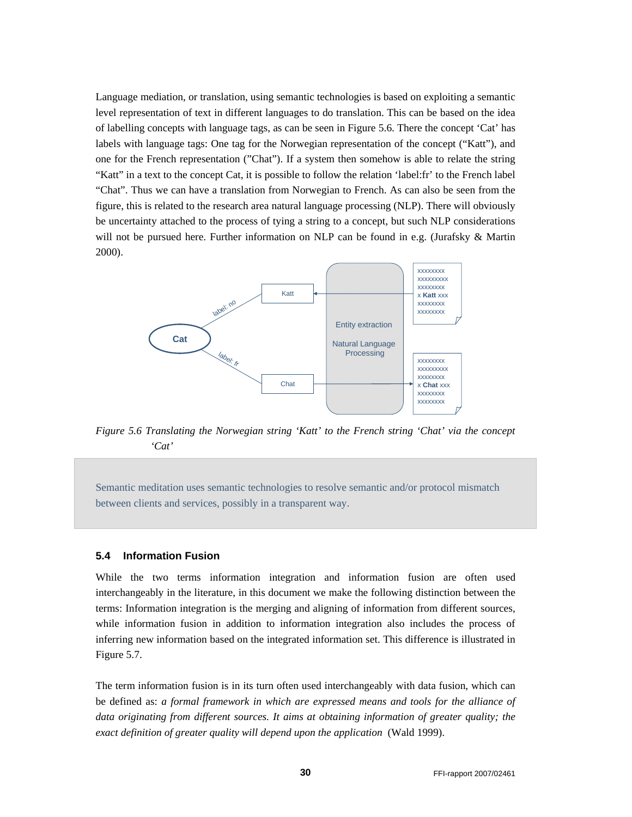Language mediation, or translation, using semantic technologies is based on exploiting a semantic level representation of text in different languages to do translation. This can be based on the idea of labelling concepts with language tags, as can be seen in Figure 5.6. There the concept 'Cat' has labels with language tags: One tag for the Norwegian representation of the concept ("Katt"), and one for the French representation ("Chat"). If a system then somehow is able to relate the string "Katt" in a text to the concept Cat, it is possible to follow the relation 'label:fr' to the French label "Chat". Thus we can have a translation from Norwegian to French. As can also be seen from the figure, this is related to the research area natural language processing (NLP). There will obviously be uncertainty attached to the process of tying a string to a concept, but such NLP considerations will not be pursued here. Further information on NLP can be found in e.g. (Jurafsky & Martin 2000).



*Figure 5.6 Translating the Norwegian string 'Katt' to the French string 'Chat' via the concept 'Cat'* 

Semantic meditation uses semantic technologies to resolve semantic and/or protocol mismatch between clients and services, possibly in a transparent way.

#### **5.4 Information Fusion**

While the two terms information integration and information fusion are often used interchangeably in the literature, in this document we make the following distinction between the terms: Information integration is the merging and aligning of information from different sources, while information fusion in addition to information integration also includes the process of inferring new information based on the integrated information set. This difference is illustrated in Figure 5.7.

The term information fusion is in its turn often used interchangeably with data fusion, which can be defined as: *a formal framework in which are expressed means and tools for the alliance of data originating from different sources. It aims at obtaining information of greater quality; the exact definition of greater quality will depend upon the application* (Wald 1999).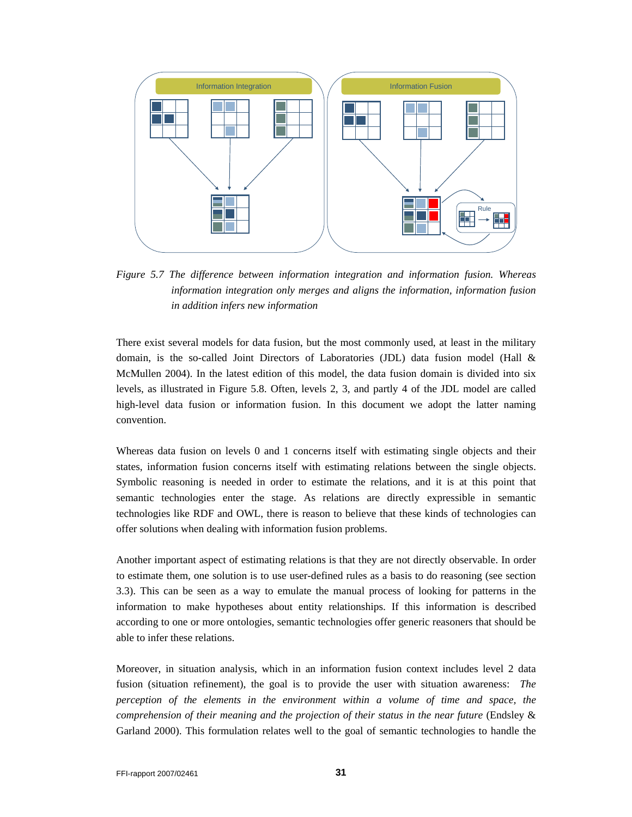

*Figure 5.7 The difference between information integration and information fusion. Whereas information integration only merges and aligns the information, information fusion in addition infers new information* 

There exist several models for data fusion, but the most commonly used, at least in the military domain, is the so-called Joint Directors of Laboratories (JDL) data fusion model (Hall & McMullen 2004). In the latest edition of this model, the data fusion domain is divided into six levels, as illustrated in Figure 5.8. Often, levels 2, 3, and partly 4 of the JDL model are called high-level data fusion or information fusion. In this document we adopt the latter naming convention.

Whereas data fusion on levels 0 and 1 concerns itself with estimating single objects and their states, information fusion concerns itself with estimating relations between the single objects. Symbolic reasoning is needed in order to estimate the relations, and it is at this point that semantic technologies enter the stage. As relations are directly expressible in semantic technologies like RDF and OWL, there is reason to believe that these kinds of technologies can offer solutions when dealing with information fusion problems.

Another important aspect of estimating relations is that they are not directly observable. In order to estimate them, one solution is to use user-defined rules as a basis to do reasoning (see section 3.3). This can be seen as a way to emulate the manual process of looking for patterns in the information to make hypotheses about entity relationships. If this information is described according to one or more ontologies, semantic technologies offer generic reasoners that should be able to infer these relations.

Moreover, in situation analysis, which in an information fusion context includes level 2 data fusion (situation refinement), the goal is to provide the user with situation awareness: The *perception of the elements in the environment within a volume of time and space, the comprehension of their meaning and the projection of their status in the near future* (Endsley & Garland 2000). This formulation relates well to the goal of semantic technologies to handle the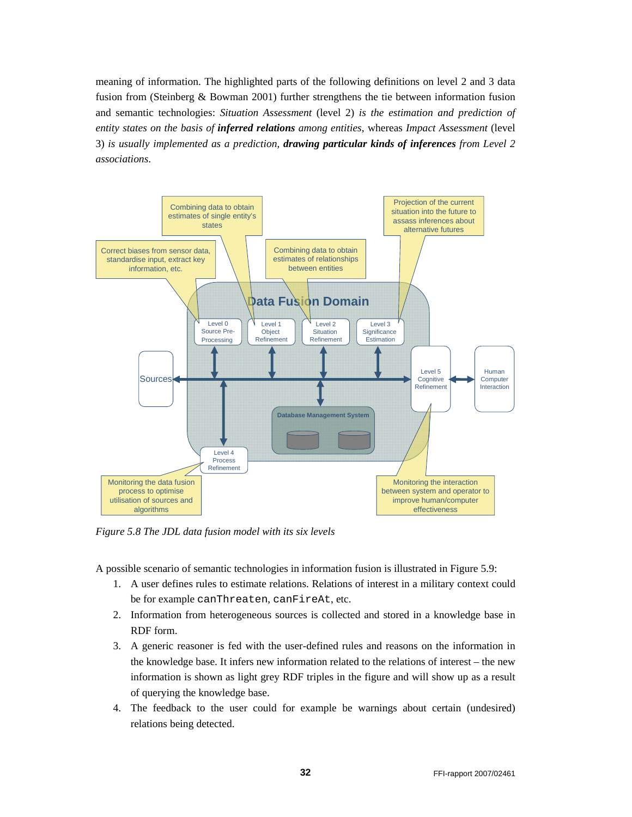meaning of information. The highlighted parts of the following definitions on level 2 and 3 data fusion from (Steinberg & Bowman 2001) further strengthens the tie between information fusion and semantic technologies: *Situation Assessment* (level 2) *is the estimation and prediction of entity states on the basis of inferred relations among entities*, whereas *Impact Assessment* (level 3) *is usually implemented as a prediction, drawing particular kinds of inferences from Level 2 associations*.



*Figure 5.8 The JDL data fusion model with its six levels* 

A possible scenario of semantic technologies in information fusion is illustrated in Figure 5.9:

- 1. A user defines rules to estimate relations. Relations of interest in a military context could be for example canThreaten, canFireAt, etc.
- 2. Information from heterogeneous sources is collected and stored in a knowledge base in RDF form.
- 3. A generic reasoner is fed with the user-defined rules and reasons on the information in the knowledge base. It infers new information related to the relations of interest – the new information is shown as light grey RDF triples in the figure and will show up as a result of querying the knowledge base.
- 4. The feedback to the user could for example be warnings about certain (undesired) relations being detected.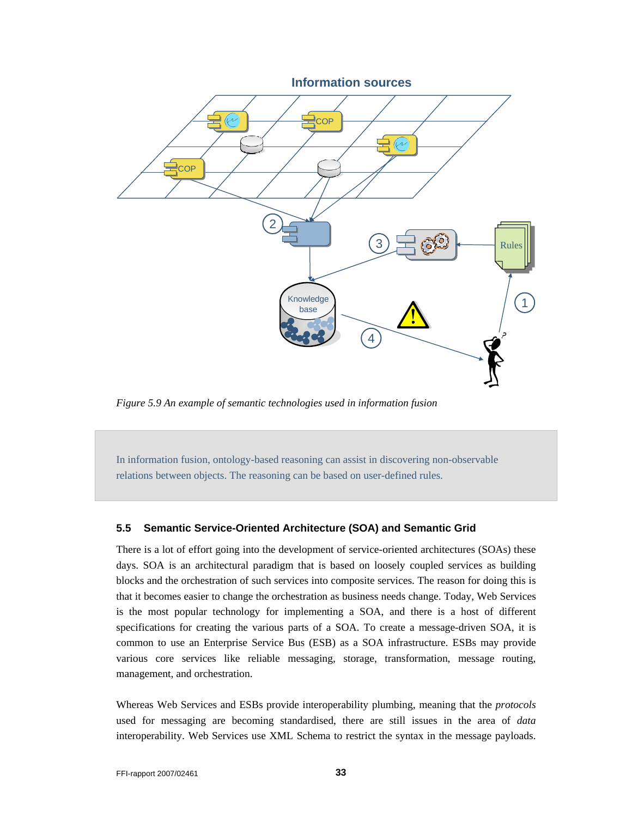

*Figure 5.9 An example of semantic technologies used in information fusion* 

In information fusion, ontology-based reasoning can assist in discovering non-observable relations between objects. The reasoning can be based on user-defined rules.

#### **5.5 Semantic Service-Oriented Architecture (SOA) and Semantic Grid**

There is a lot of effort going into the development of service-oriented architectures (SOAs) these days. SOA is an architectural paradigm that is based on loosely coupled services as building blocks and the orchestration of such services into composite services. The reason for doing this is that it becomes easier to change the orchestration as business needs change. Today, Web Services is the most popular technology for implementing a SOA, and there is a host of different specifications for creating the various parts of a SOA. To create a message-driven SOA, it is common to use an Enterprise Service Bus (ESB) as a SOA infrastructure. ESBs may provide various core services like reliable messaging, storage, transformation, message routing, management, and orchestration.

Whereas Web Services and ESBs provide interoperability plumbing, meaning that the *protocols* used for messaging are becoming standardised, there are still issues in the area of *data* interoperability. Web Services use XML Schema to restrict the syntax in the message payloads.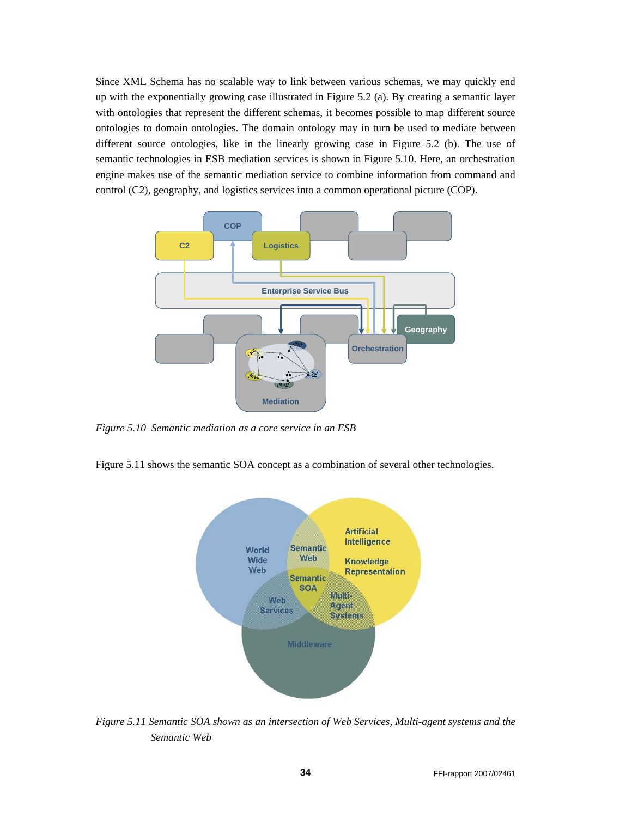Since XML Schema has no scalable way to link between various schemas, we may quickly end up with the exponentially growing case illustrated in Figure 5.2 (a). By creating a semantic layer with ontologies that represent the different schemas, it becomes possible to map different source ontologies to domain ontologies. The domain ontology may in turn be used to mediate between different source ontologies, like in the linearly growing case in Figure 5.2 (b). The use of semantic technologies in ESB mediation services is shown in Figure 5.10. Here, an orchestration engine makes use of the semantic mediation service to combine information from command and control (C2), geography, and logistics services into a common operational picture (COP).



*Figure 5.10 Semantic mediation as a core service in an ESB* 

Figure 5.11 shows the semantic SOA concept as a combination of several other technologies.



*Figure 5.11 Semantic SOA shown as an intersection of Web Services, Multi-agent systems and the Semantic Web*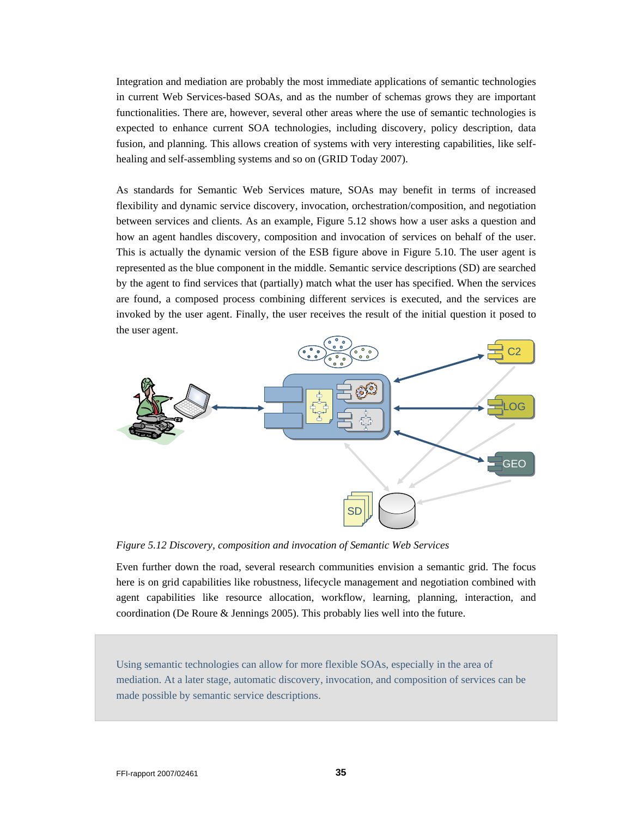Integration and mediation are probably the most immediate applications of semantic technologies in current Web Services-based SOAs, and as the number of schemas grows they are important functionalities. There are, however, several other areas where the use of semantic technologies is expected to enhance current SOA technologies, including discovery, policy description, data fusion, and planning. This allows creation of systems with very interesting capabilities, like selfhealing and self-assembling systems and so on (GRID Today 2007).

As standards for Semantic Web Services mature, SOAs may benefit in terms of increased flexibility and dynamic service discovery, invocation, orchestration/composition, and negotiation between services and clients. As an example, Figure 5.12 shows how a user asks a question and how an agent handles discovery, composition and invocation of services on behalf of the user. This is actually the dynamic version of the ESB figure above in Figure 5.10. The user agent is represented as the blue component in the middle. Semantic service descriptions (SD) are searched by the agent to find services that (partially) match what the user has specified. When the services are found, a composed process combining different services is executed, and the services are invoked by the user agent. Finally, the user receives the result of the initial question it posed to the user agent.



*Figure 5.12 Discovery, composition and invocation of Semantic Web Services* 

Even further down the road, several research communities envision a semantic grid. The focus here is on grid capabilities like robustness, lifecycle management and negotiation combined with agent capabilities like resource allocation, workflow, learning, planning, interaction, and coordination (De Roure & Jennings 2005). This probably lies well into the future.

Using semantic technologies can allow for more flexible SOAs, especially in the area of mediation. At a later stage, automatic discovery, invocation, and composition of services can be made possible by semantic service descriptions.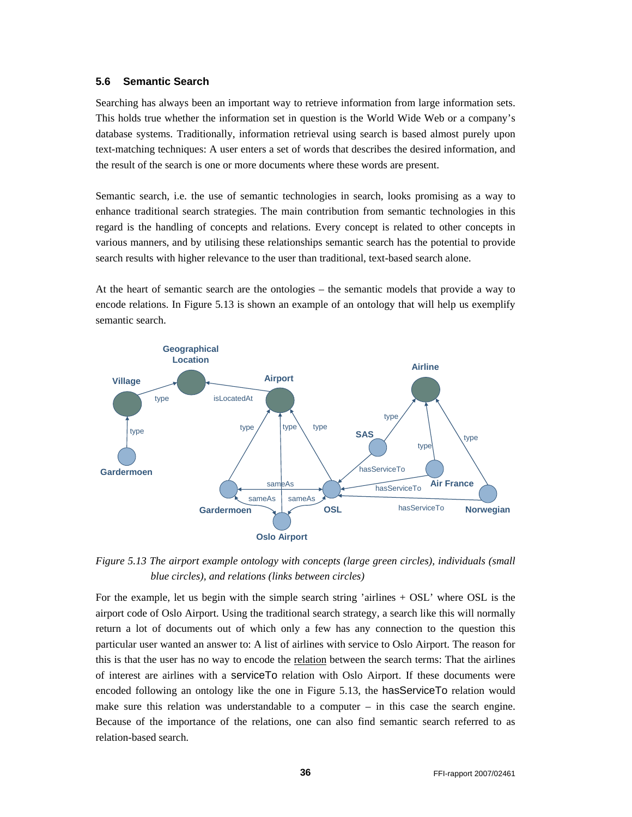#### **5.6 Semantic Search**

Searching has always been an important way to retrieve information from large information sets. This holds true whether the information set in question is the World Wide Web or a company's database systems. Traditionally, information retrieval using search is based almost purely upon text-matching techniques: A user enters a set of words that describes the desired information, and the result of the search is one or more documents where these words are present.

Semantic search, i.e. the use of semantic technologies in search, looks promising as a way to enhance traditional search strategies. The main contribution from semantic technologies in this regard is the handling of concepts and relations. Every concept is related to other concepts in various manners, and by utilising these relationships semantic search has the potential to provide search results with higher relevance to the user than traditional, text-based search alone.

At the heart of semantic search are the ontologies – the semantic models that provide a way to encode relations. In Figure 5.13 is shown an example of an ontology that will help us exemplify semantic search.



*Figure 5.13 The airport example ontology with concepts (large green circles), individuals (small blue circles), and relations (links between circles)* 

For the example, let us begin with the simple search string 'airlines + OSL' where OSL is the airport code of Oslo Airport. Using the traditional search strategy, a search like this will normally return a lot of documents out of which only a few has any connection to the question this particular user wanted an answer to: A list of airlines with service to Oslo Airport. The reason for this is that the user has no way to encode the relation between the search terms: That the airlines of interest are airlines with a serviceTo relation with Oslo Airport. If these documents were encoded following an ontology like the one in Figure 5.13, the hasServiceTo relation would make sure this relation was understandable to a computer – in this case the search engine. Because of the importance of the relations, one can also find semantic search referred to as relation-based search.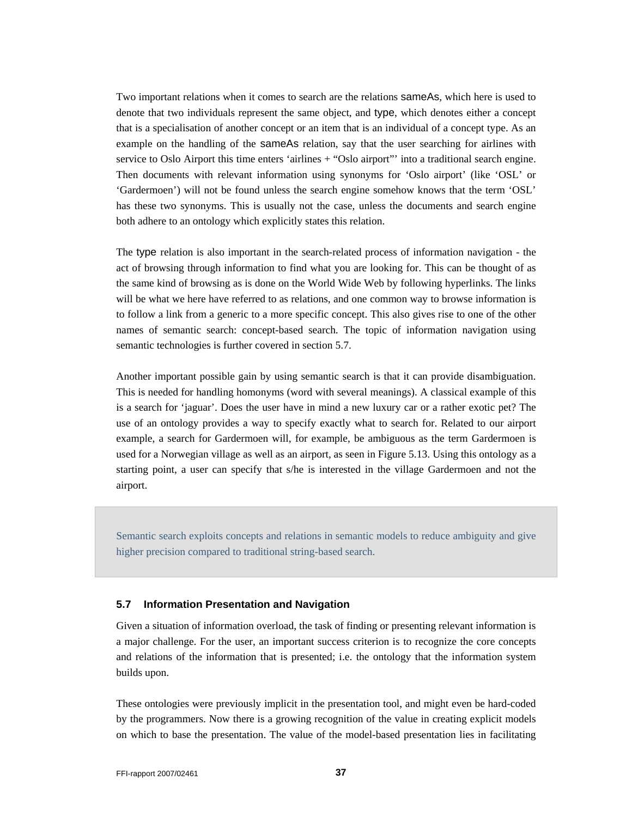Two important relations when it comes to search are the relations sameAs, which here is used to denote that two individuals represent the same object, and type, which denotes either a concept that is a specialisation of another concept or an item that is an individual of a concept type. As an example on the handling of the sameAs relation, say that the user searching for airlines with service to Oslo Airport this time enters 'airlines + "Oslo airport"' into a traditional search engine. Then documents with relevant information using synonyms for 'Oslo airport' (like 'OSL' or 'Gardermoen') will not be found unless the search engine somehow knows that the term 'OSL' has these two synonyms. This is usually not the case, unless the documents and search engine both adhere to an ontology which explicitly states this relation.

The type relation is also important in the search-related process of information navigation - the act of browsing through information to find what you are looking for. This can be thought of as the same kind of browsing as is done on the World Wide Web by following hyperlinks. The links will be what we here have referred to as relations, and one common way to browse information is to follow a link from a generic to a more specific concept. This also gives rise to one of the other names of semantic search: concept-based search. The topic of information navigation using semantic technologies is further covered in section 5.7.

Another important possible gain by using semantic search is that it can provide disambiguation. This is needed for handling homonyms (word with several meanings). A classical example of this is a search for 'jaguar'. Does the user have in mind a new luxury car or a rather exotic pet? The use of an ontology provides a way to specify exactly what to search for. Related to our airport example, a search for Gardermoen will, for example, be ambiguous as the term Gardermoen is used for a Norwegian village as well as an airport, as seen in Figure 5.13. Using this ontology as a starting point, a user can specify that s/he is interested in the village Gardermoen and not the airport.

Semantic search exploits concepts and relations in semantic models to reduce ambiguity and give higher precision compared to traditional string-based search.

#### **5.7 Information Presentation and Navigation**

Given a situation of information overload, the task of finding or presenting relevant information is a major challenge. For the user, an important success criterion is to recognize the core concepts and relations of the information that is presented; i.e. the ontology that the information system builds upon.

These ontologies were previously implicit in the presentation tool, and might even be hard-coded by the programmers. Now there is a growing recognition of the value in creating explicit models on which to base the presentation. The value of the model-based presentation lies in facilitating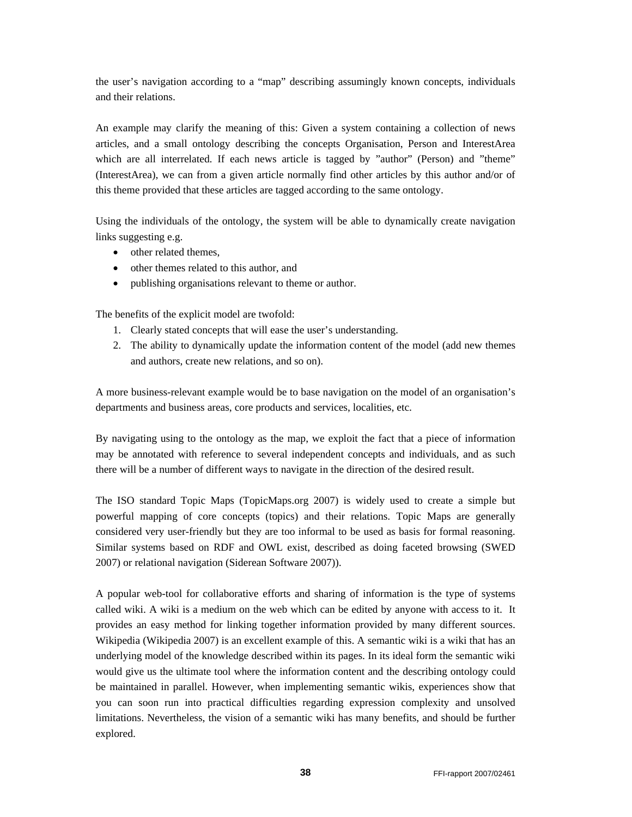the user's navigation according to a "map" describing assumingly known concepts, individuals and their relations.

An example may clarify the meaning of this: Given a system containing a collection of news articles, and a small ontology describing the concepts Organisation, Person and InterestArea which are all interrelated. If each news article is tagged by "author" (Person) and "theme" (InterestArea), we can from a given article normally find other articles by this author and/or of this theme provided that these articles are tagged according to the same ontology.

Using the individuals of the ontology, the system will be able to dynamically create navigation links suggesting e.g.

- other related themes,
- other themes related to this author, and
- publishing organisations relevant to theme or author.

The benefits of the explicit model are twofold:

- 1. Clearly stated concepts that will ease the user's understanding.
- 2. The ability to dynamically update the information content of the model (add new themes and authors, create new relations, and so on).

A more business-relevant example would be to base navigation on the model of an organisation's departments and business areas, core products and services, localities, etc.

By navigating using to the ontology as the map, we exploit the fact that a piece of information may be annotated with reference to several independent concepts and individuals, and as such there will be a number of different ways to navigate in the direction of the desired result.

The ISO standard Topic Maps (TopicMaps.org 2007) is widely used to create a simple but powerful mapping of core concepts (topics) and their relations. Topic Maps are generally considered very user-friendly but they are too informal to be used as basis for formal reasoning. Similar systems based on RDF and OWL exist, described as doing faceted browsing (SWED 2007) or relational navigation (Siderean Software 2007)).

A popular web-tool for collaborative efforts and sharing of information is the type of systems called wiki. A wiki is a medium on the web which can be edited by anyone with access to it. It provides an easy method for linking together information provided by many different sources. Wikipedia (Wikipedia 2007) is an excellent example of this. A semantic wiki is a wiki that has an underlying model of the knowledge described within its pages. In its ideal form the semantic wiki would give us the ultimate tool where the information content and the describing ontology could be maintained in parallel. However, when implementing semantic wikis, experiences show that you can soon run into practical difficulties regarding expression complexity and unsolved limitations. Nevertheless, the vision of a semantic wiki has many benefits, and should be further explored.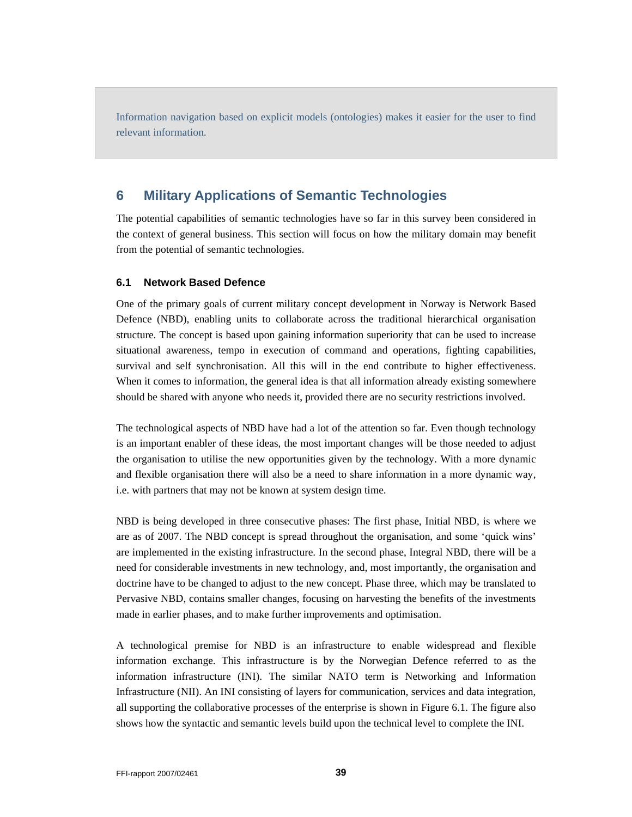Information navigation based on explicit models (ontologies) makes it easier for the user to find relevant information.

## **6 Military Applications of Semantic Technologies**

The potential capabilities of semantic technologies have so far in this survey been considered in the context of general business. This section will focus on how the military domain may benefit from the potential of semantic technologies.

#### **6.1 Network Based Defence**

One of the primary goals of current military concept development in Norway is Network Based Defence (NBD), enabling units to collaborate across the traditional hierarchical organisation structure. The concept is based upon gaining information superiority that can be used to increase situational awareness, tempo in execution of command and operations, fighting capabilities, survival and self synchronisation. All this will in the end contribute to higher effectiveness. When it comes to information, the general idea is that all information already existing somewhere should be shared with anyone who needs it, provided there are no security restrictions involved.

The technological aspects of NBD have had a lot of the attention so far. Even though technology is an important enabler of these ideas, the most important changes will be those needed to adjust the organisation to utilise the new opportunities given by the technology. With a more dynamic and flexible organisation there will also be a need to share information in a more dynamic way, i.e. with partners that may not be known at system design time.

NBD is being developed in three consecutive phases: The first phase, Initial NBD, is where we are as of 2007. The NBD concept is spread throughout the organisation, and some 'quick wins' are implemented in the existing infrastructure. In the second phase, Integral NBD, there will be a need for considerable investments in new technology, and, most importantly, the organisation and doctrine have to be changed to adjust to the new concept. Phase three, which may be translated to Pervasive NBD, contains smaller changes, focusing on harvesting the benefits of the investments made in earlier phases, and to make further improvements and optimisation.

A technological premise for NBD is an infrastructure to enable widespread and flexible information exchange. This infrastructure is by the Norwegian Defence referred to as the information infrastructure (INI). The similar NATO term is Networking and Information Infrastructure (NII). An INI consisting of layers for communication, services and data integration, all supporting the collaborative processes of the enterprise is shown in Figure 6.1. The figure also shows how the syntactic and semantic levels build upon the technical level to complete the INI.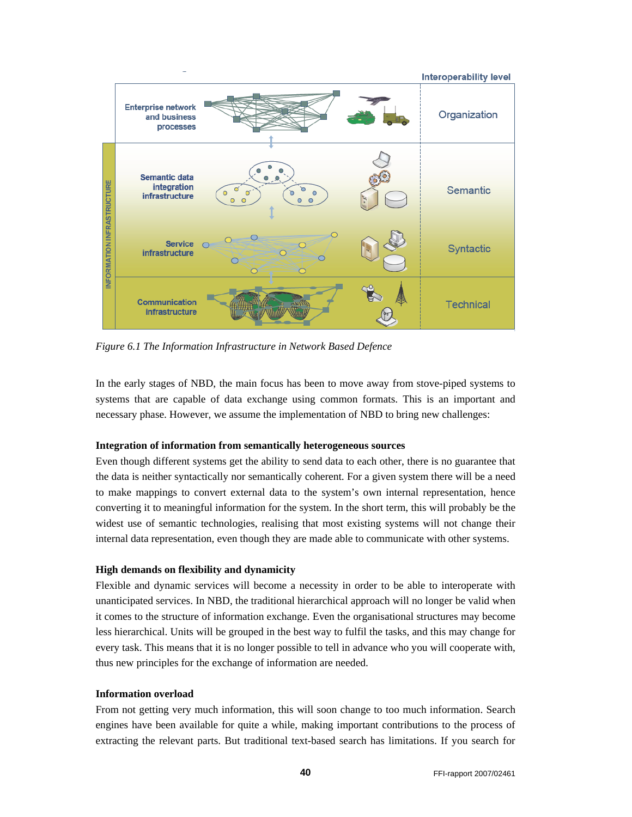

*Figure 6.1 The Information Infrastructure in Network Based Defence* 

In the early stages of NBD, the main focus has been to move away from stove-piped systems to systems that are capable of data exchange using common formats. This is an important and necessary phase. However, we assume the implementation of NBD to bring new challenges:

#### **Integration of information from semantically heterogeneous sources**

Even though different systems get the ability to send data to each other, there is no guarantee that the data is neither syntactically nor semantically coherent. For a given system there will be a need to make mappings to convert external data to the system's own internal representation, hence converting it to meaningful information for the system. In the short term, this will probably be the widest use of semantic technologies, realising that most existing systems will not change their internal data representation, even though they are made able to communicate with other systems.

#### **High demands on flexibility and dynamicity**

Flexible and dynamic services will become a necessity in order to be able to interoperate with unanticipated services. In NBD, the traditional hierarchical approach will no longer be valid when it comes to the structure of information exchange. Even the organisational structures may become less hierarchical. Units will be grouped in the best way to fulfil the tasks, and this may change for every task. This means that it is no longer possible to tell in advance who you will cooperate with, thus new principles for the exchange of information are needed.

#### **Information overload**

From not getting very much information, this will soon change to too much information. Search engines have been available for quite a while, making important contributions to the process of extracting the relevant parts. But traditional text-based search has limitations. If you search for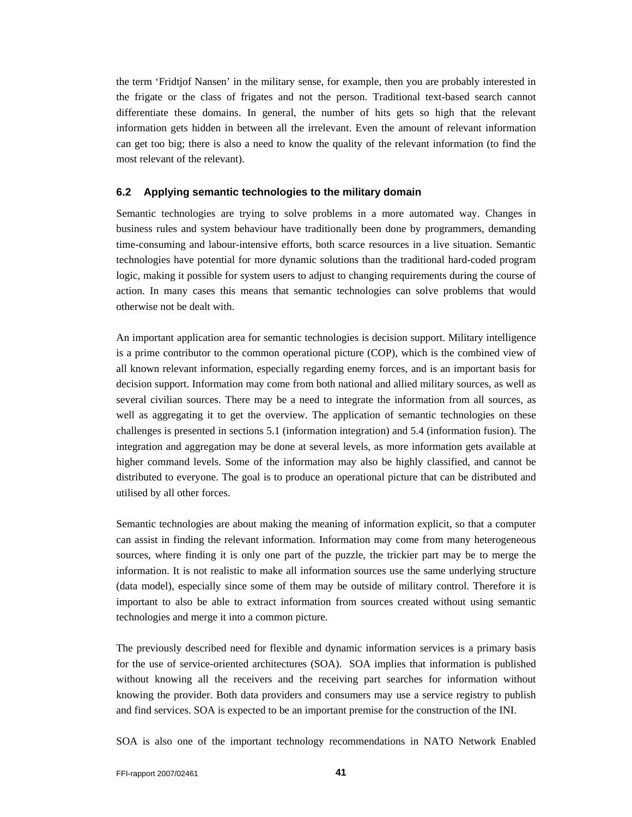the term 'Fridtjof Nansen' in the military sense, for example, then you are probably interested in the frigate or the class of frigates and not the person. Traditional text-based search cannot differentiate these domains. In general, the number of hits gets so high that the relevant information gets hidden in between all the irrelevant. Even the amount of relevant information can get too big; there is also a need to know the quality of the relevant information (to find the most relevant of the relevant).

#### **6.2 Applying semantic technologies to the military domain**

Semantic technologies are trying to solve problems in a more automated way. Changes in business rules and system behaviour have traditionally been done by programmers, demanding time-consuming and labour-intensive efforts, both scarce resources in a live situation. Semantic technologies have potential for more dynamic solutions than the traditional hard-coded program logic, making it possible for system users to adjust to changing requirements during the course of action. In many cases this means that semantic technologies can solve problems that would otherwise not be dealt with.

An important application area for semantic technologies is decision support. Military intelligence is a prime contributor to the common operational picture (COP), which is the combined view of all known relevant information, especially regarding enemy forces, and is an important basis for decision support. Information may come from both national and allied military sources, as well as several civilian sources. There may be a need to integrate the information from all sources, as well as aggregating it to get the overview. The application of semantic technologies on these challenges is presented in sections 5.1 (information integration) and 5.4 (information fusion). The integration and aggregation may be done at several levels, as more information gets available at higher command levels. Some of the information may also be highly classified, and cannot be distributed to everyone. The goal is to produce an operational picture that can be distributed and utilised by all other forces.

Semantic technologies are about making the meaning of information explicit, so that a computer can assist in finding the relevant information. Information may come from many heterogeneous sources, where finding it is only one part of the puzzle, the trickier part may be to merge the information. It is not realistic to make all information sources use the same underlying structure (data model), especially since some of them may be outside of military control. Therefore it is important to also be able to extract information from sources created without using semantic technologies and merge it into a common picture.

The previously described need for flexible and dynamic information services is a primary basis for the use of service-oriented architectures (SOA). SOA implies that information is published without knowing all the receivers and the receiving part searches for information without knowing the provider. Both data providers and consumers may use a service registry to publish and find services. SOA is expected to be an important premise for the construction of the INI.

SOA is also one of the important technology recommendations in NATO Network Enabled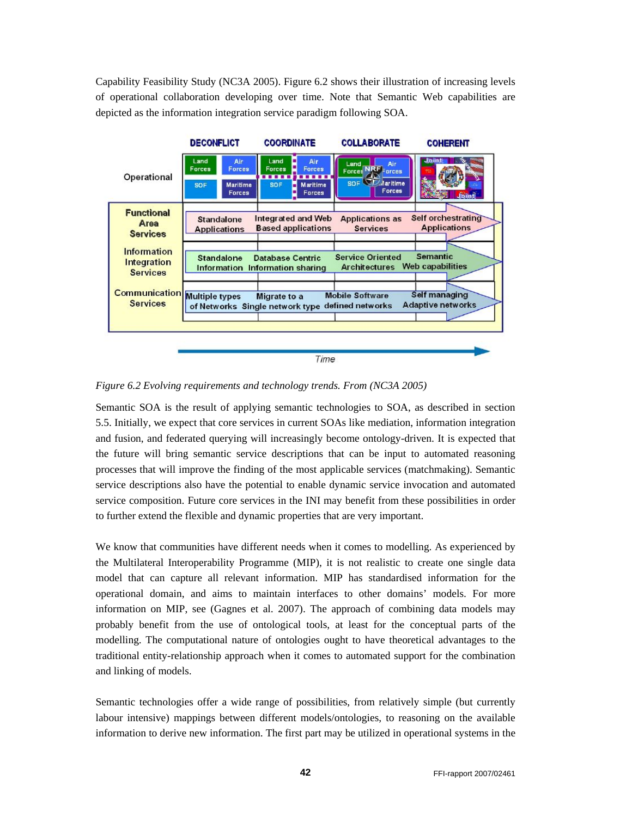Capability Feasibility Study (NC3A 2005). Figure 6.2 shows their illustration of increasing levels of operational collaboration developing over time. Note that Semantic Web capabilities are depicted as the information integration service paradigm following SOA.



*Figure 6.2 Evolving requirements and technology trends. From (NC3A 2005)* 

Semantic SOA is the result of applying semantic technologies to SOA, as described in section 5.5. Initially, we expect that core services in current SOAs like mediation, information integration and fusion, and federated querying will increasingly become ontology-driven. It is expected that the future will bring semantic service descriptions that can be input to automated reasoning processes that will improve the finding of the most applicable services (matchmaking). Semantic service descriptions also have the potential to enable dynamic service invocation and automated service composition. Future core services in the INI may benefit from these possibilities in order to further extend the flexible and dynamic properties that are very important.

We know that communities have different needs when it comes to modelling. As experienced by the Multilateral Interoperability Programme (MIP), it is not realistic to create one single data model that can capture all relevant information. MIP has standardised information for the operational domain, and aims to maintain interfaces to other domains' models. For more information on MIP, see (Gagnes et al. 2007). The approach of combining data models may probably benefit from the use of ontological tools, at least for the conceptual parts of the modelling. The computational nature of ontologies ought to have theoretical advantages to the traditional entity-relationship approach when it comes to automated support for the combination and linking of models.

Semantic technologies offer a wide range of possibilities, from relatively simple (but currently labour intensive) mappings between different models/ontologies, to reasoning on the available information to derive new information. The first part may be utilized in operational systems in the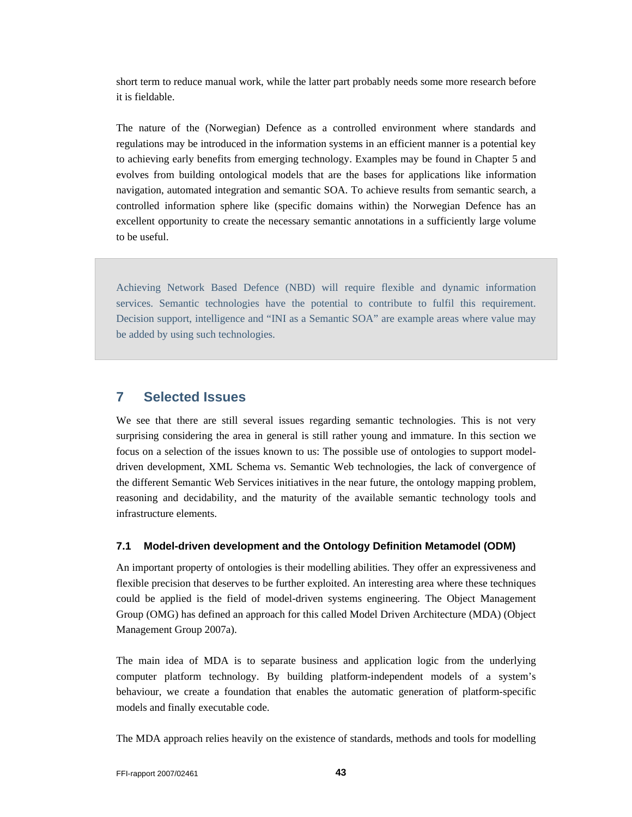short term to reduce manual work, while the latter part probably needs some more research before it is fieldable.

The nature of the (Norwegian) Defence as a controlled environment where standards and regulations may be introduced in the information systems in an efficient manner is a potential key to achieving early benefits from emerging technology. Examples may be found in Chapter 5 and evolves from building ontological models that are the bases for applications like information navigation, automated integration and semantic SOA. To achieve results from semantic search, a controlled information sphere like (specific domains within) the Norwegian Defence has an excellent opportunity to create the necessary semantic annotations in a sufficiently large volume to be useful.

Achieving Network Based Defence (NBD) will require flexible and dynamic information services. Semantic technologies have the potential to contribute to fulfil this requirement. Decision support, intelligence and "INI as a Semantic SOA" are example areas where value may be added by using such technologies.

## **7 Selected Issues**

We see that there are still several issues regarding semantic technologies. This is not very surprising considering the area in general is still rather young and immature. In this section we focus on a selection of the issues known to us: The possible use of ontologies to support modeldriven development, XML Schema vs. Semantic Web technologies, the lack of convergence of the different Semantic Web Services initiatives in the near future, the ontology mapping problem, reasoning and decidability, and the maturity of the available semantic technology tools and infrastructure elements.

#### **7.1 Model-driven development and the Ontology Definition Metamodel (ODM)**

An important property of ontologies is their modelling abilities. They offer an expressiveness and flexible precision that deserves to be further exploited. An interesting area where these techniques could be applied is the field of model-driven systems engineering. The Object Management Group (OMG) has defined an approach for this called Model Driven Architecture (MDA) (Object Management Group 2007a).

The main idea of MDA is to separate business and application logic from the underlying computer platform technology. By building platform-independent models of a system's behaviour, we create a foundation that enables the automatic generation of platform-specific models and finally executable code.

The MDA approach relies heavily on the existence of standards, methods and tools for modelling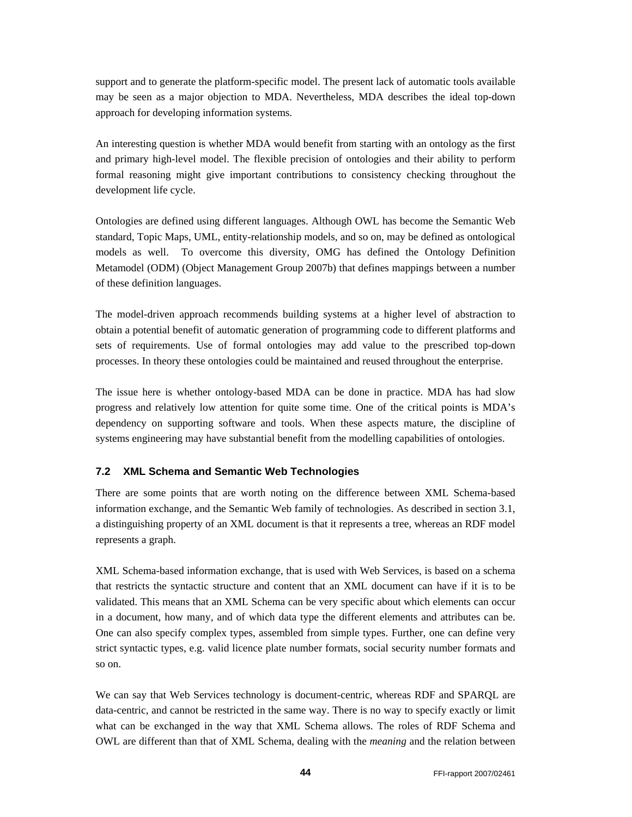support and to generate the platform-specific model. The present lack of automatic tools available may be seen as a major objection to MDA. Nevertheless, MDA describes the ideal top-down approach for developing information systems.

An interesting question is whether MDA would benefit from starting with an ontology as the first and primary high-level model. The flexible precision of ontologies and their ability to perform formal reasoning might give important contributions to consistency checking throughout the development life cycle.

Ontologies are defined using different languages. Although OWL has become the Semantic Web standard, Topic Maps, UML, entity-relationship models, and so on, may be defined as ontological models as well. To overcome this diversity, OMG has defined the Ontology Definition Metamodel (ODM) (Object Management Group 2007b) that defines mappings between a number of these definition languages.

The model-driven approach recommends building systems at a higher level of abstraction to obtain a potential benefit of automatic generation of programming code to different platforms and sets of requirements. Use of formal ontologies may add value to the prescribed top-down processes. In theory these ontologies could be maintained and reused throughout the enterprise.

The issue here is whether ontology-based MDA can be done in practice. MDA has had slow progress and relatively low attention for quite some time. One of the critical points is MDA's dependency on supporting software and tools. When these aspects mature, the discipline of systems engineering may have substantial benefit from the modelling capabilities of ontologies.

#### **7.2 XML Schema and Semantic Web Technologies**

There are some points that are worth noting on the difference between XML Schema-based information exchange, and the Semantic Web family of technologies. As described in section 3.1, a distinguishing property of an XML document is that it represents a tree, whereas an RDF model represents a graph.

XML Schema-based information exchange, that is used with Web Services, is based on a schema that restricts the syntactic structure and content that an XML document can have if it is to be validated. This means that an XML Schema can be very specific about which elements can occur in a document, how many, and of which data type the different elements and attributes can be. One can also specify complex types, assembled from simple types. Further, one can define very strict syntactic types, e.g. valid licence plate number formats, social security number formats and so on.

We can say that Web Services technology is document-centric, whereas RDF and SPARQL are data-centric, and cannot be restricted in the same way. There is no way to specify exactly or limit what can be exchanged in the way that XML Schema allows. The roles of RDF Schema and OWL are different than that of XML Schema, dealing with the *meaning* and the relation between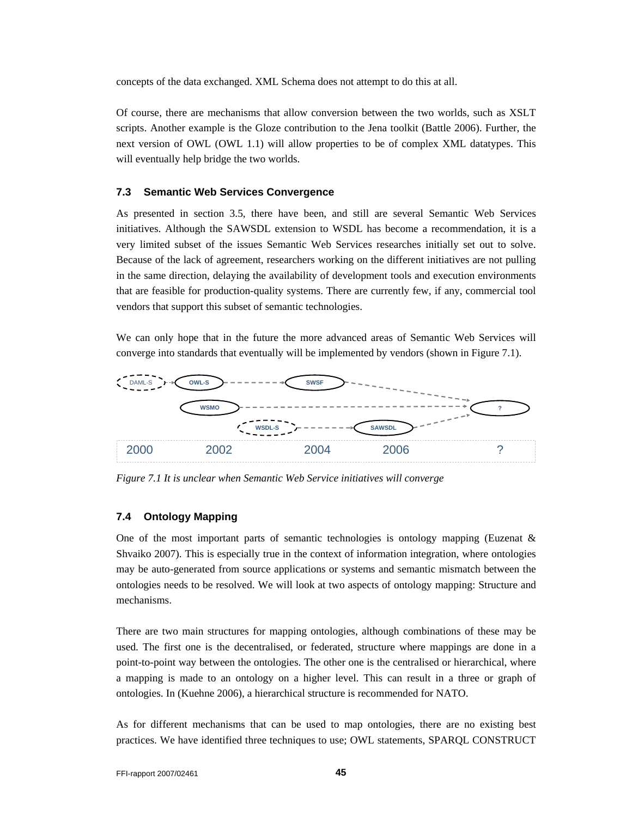concepts of the data exchanged. XML Schema does not attempt to do this at all.

Of course, there are mechanisms that allow conversion between the two worlds, such as XSLT scripts. Another example is the Gloze contribution to the Jena toolkit (Battle 2006). Further, the next version of OWL (OWL 1.1) will allow properties to be of complex XML datatypes. This will eventually help bridge the two worlds.

#### **7.3 Semantic Web Services Convergence**

As presented in section 3.5, there have been, and still are several Semantic Web Services initiatives. Although the SAWSDL extension to WSDL has become a recommendation, it is a very limited subset of the issues Semantic Web Services researches initially set out to solve. Because of the lack of agreement, researchers working on the different initiatives are not pulling in the same direction, delaying the availability of development tools and execution environments that are feasible for production-quality systems. There are currently few, if any, commercial tool vendors that support this subset of semantic technologies.

We can only hope that in the future the more advanced areas of Semantic Web Services will converge into standards that eventually will be implemented by vendors (shown in Figure 7.1).



*Figure 7.1 It is unclear when Semantic Web Service initiatives will converge* 

#### **7.4 Ontology Mapping**

One of the most important parts of semantic technologies is ontology mapping (Euzenat  $\&$ Shvaiko 2007). This is especially true in the context of information integration, where ontologies may be auto-generated from source applications or systems and semantic mismatch between the ontologies needs to be resolved. We will look at two aspects of ontology mapping: Structure and mechanisms.

There are two main structures for mapping ontologies, although combinations of these may be used. The first one is the decentralised, or federated, structure where mappings are done in a point-to-point way between the ontologies. The other one is the centralised or hierarchical, where a mapping is made to an ontology on a higher level. This can result in a three or graph of ontologies. In (Kuehne 2006), a hierarchical structure is recommended for NATO.

As for different mechanisms that can be used to map ontologies, there are no existing best practices. We have identified three techniques to use; OWL statements, SPARQL CONSTRUCT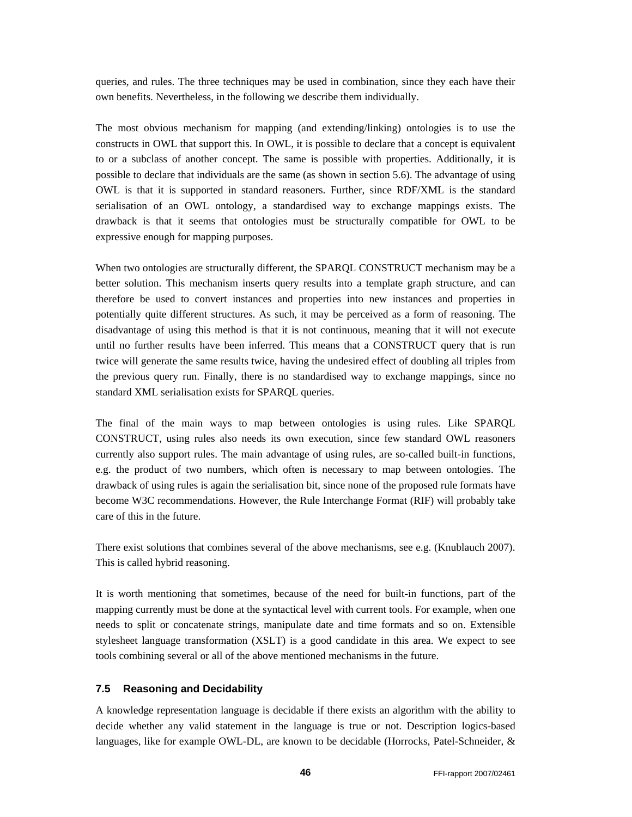queries, and rules. The three techniques may be used in combination, since they each have their own benefits. Nevertheless, in the following we describe them individually.

The most obvious mechanism for mapping (and extending/linking) ontologies is to use the constructs in OWL that support this. In OWL, it is possible to declare that a concept is equivalent to or a subclass of another concept. The same is possible with properties. Additionally, it is possible to declare that individuals are the same (as shown in section 5.6). The advantage of using OWL is that it is supported in standard reasoners. Further, since RDF/XML is the standard serialisation of an OWL ontology, a standardised way to exchange mappings exists. The drawback is that it seems that ontologies must be structurally compatible for OWL to be expressive enough for mapping purposes.

When two ontologies are structurally different, the SPARQL CONSTRUCT mechanism may be a better solution. This mechanism inserts query results into a template graph structure, and can therefore be used to convert instances and properties into new instances and properties in potentially quite different structures. As such, it may be perceived as a form of reasoning. The disadvantage of using this method is that it is not continuous, meaning that it will not execute until no further results have been inferred. This means that a CONSTRUCT query that is run twice will generate the same results twice, having the undesired effect of doubling all triples from the previous query run. Finally, there is no standardised way to exchange mappings, since no standard XML serialisation exists for SPARQL queries.

The final of the main ways to map between ontologies is using rules. Like SPARQL CONSTRUCT, using rules also needs its own execution, since few standard OWL reasoners currently also support rules. The main advantage of using rules, are so-called built-in functions, e.g. the product of two numbers, which often is necessary to map between ontologies. The drawback of using rules is again the serialisation bit, since none of the proposed rule formats have become W3C recommendations. However, the Rule Interchange Format (RIF) will probably take care of this in the future.

There exist solutions that combines several of the above mechanisms, see e.g. (Knublauch 2007). This is called hybrid reasoning.

It is worth mentioning that sometimes, because of the need for built-in functions, part of the mapping currently must be done at the syntactical level with current tools. For example, when one needs to split or concatenate strings, manipulate date and time formats and so on. Extensible stylesheet language transformation (XSLT) is a good candidate in this area. We expect to see tools combining several or all of the above mentioned mechanisms in the future.

#### **7.5 Reasoning and Decidability**

A knowledge representation language is decidable if there exists an algorithm with the ability to decide whether any valid statement in the language is true or not. Description logics-based languages, like for example OWL-DL, are known to be decidable (Horrocks, Patel-Schneider, &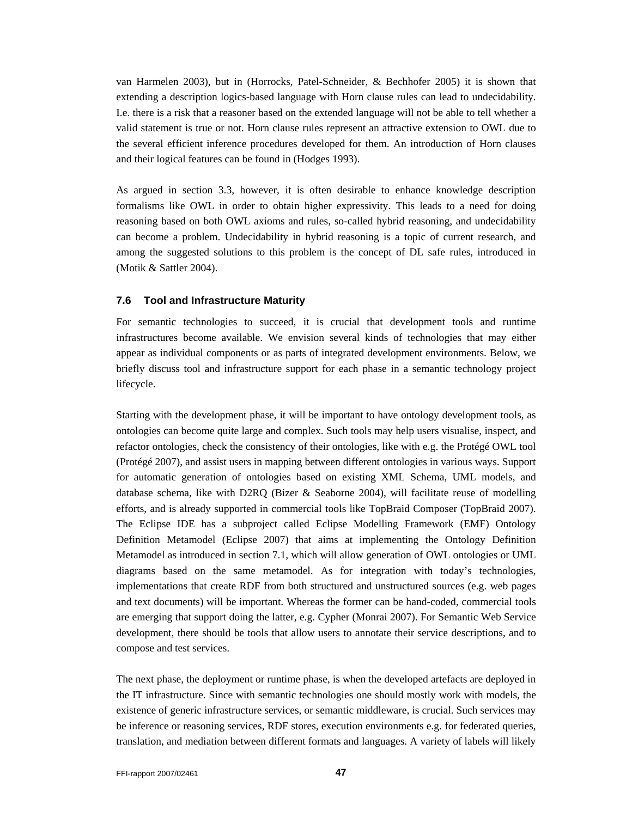van Harmelen 2003), but in (Horrocks, Patel-Schneider, & Bechhofer 2005) it is shown that extending a description logics-based language with Horn clause rules can lead to undecidability. I.e. there is a risk that a reasoner based on the extended language will not be able to tell whether a valid statement is true or not. Horn clause rules represent an attractive extension to OWL due to the several efficient inference procedures developed for them. An introduction of Horn clauses and their logical features can be found in (Hodges 1993).

As argued in section 3.3, however, it is often desirable to enhance knowledge description formalisms like OWL in order to obtain higher expressivity. This leads to a need for doing reasoning based on both OWL axioms and rules, so-called hybrid reasoning, and undecidability can become a problem. Undecidability in hybrid reasoning is a topic of current research, and among the suggested solutions to this problem is the concept of DL safe rules, introduced in (Motik & Sattler 2004).

#### **7.6 Tool and Infrastructure Maturity**

For semantic technologies to succeed, it is crucial that development tools and runtime infrastructures become available. We envision several kinds of technologies that may either appear as individual components or as parts of integrated development environments. Below, we briefly discuss tool and infrastructure support for each phase in a semantic technology project lifecycle.

Starting with the development phase, it will be important to have ontology development tools, as ontologies can become quite large and complex. Such tools may help users visualise, inspect, and refactor ontologies, check the consistency of their ontologies, like with e.g. the Protégé OWL tool (Protégé 2007), and assist users in mapping between different ontologies in various ways. Support for automatic generation of ontologies based on existing XML Schema, UML models, and database schema, like with D2RQ (Bizer & Seaborne 2004), will facilitate reuse of modelling efforts, and is already supported in commercial tools like TopBraid Composer (TopBraid 2007). The Eclipse IDE has a subproject called Eclipse Modelling Framework (EMF) Ontology Definition Metamodel (Eclipse 2007) that aims at implementing the Ontology Definition Metamodel as introduced in section 7.1, which will allow generation of OWL ontologies or UML diagrams based on the same metamodel. As for integration with today's technologies, implementations that create RDF from both structured and unstructured sources (e.g. web pages and text documents) will be important. Whereas the former can be hand-coded, commercial tools are emerging that support doing the latter, e.g. Cypher (Monrai 2007). For Semantic Web Service development, there should be tools that allow users to annotate their service descriptions, and to compose and test services.

The next phase, the deployment or runtime phase, is when the developed artefacts are deployed in the IT infrastructure. Since with semantic technologies one should mostly work with models, the existence of generic infrastructure services, or semantic middleware, is crucial. Such services may be inference or reasoning services, RDF stores, execution environments e.g. for federated queries, translation, and mediation between different formats and languages. A variety of labels will likely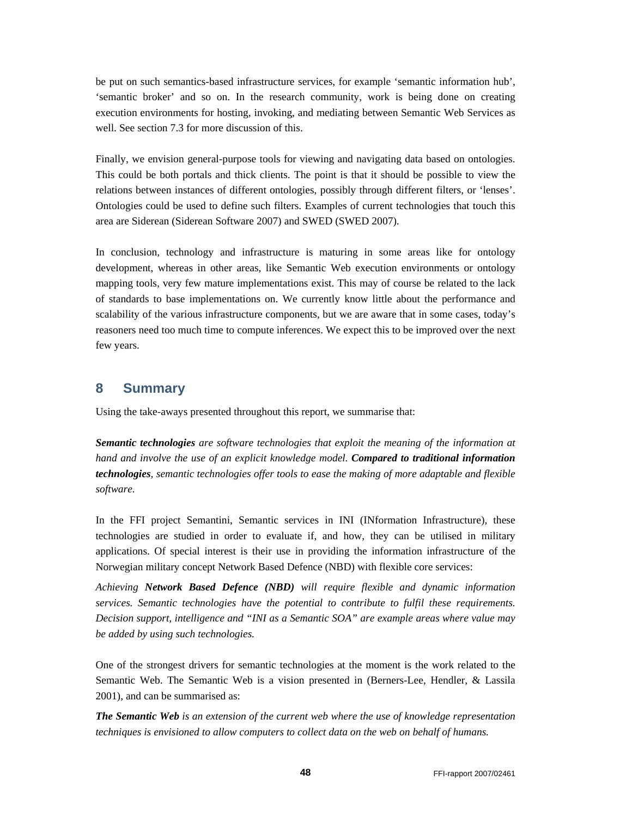be put on such semantics-based infrastructure services, for example 'semantic information hub', 'semantic broker' and so on. In the research community, work is being done on creating execution environments for hosting, invoking, and mediating between Semantic Web Services as well. See section 7.3 for more discussion of this.

Finally, we envision general-purpose tools for viewing and navigating data based on ontologies. This could be both portals and thick clients. The point is that it should be possible to view the relations between instances of different ontologies, possibly through different filters, or 'lenses'. Ontologies could be used to define such filters. Examples of current technologies that touch this area are Siderean (Siderean Software 2007) and SWED (SWED 2007).

In conclusion, technology and infrastructure is maturing in some areas like for ontology development, whereas in other areas, like Semantic Web execution environments or ontology mapping tools, very few mature implementations exist. This may of course be related to the lack of standards to base implementations on. We currently know little about the performance and scalability of the various infrastructure components, but we are aware that in some cases, today's reasoners need too much time to compute inferences. We expect this to be improved over the next few years.

### **8 Summary**

Using the take-aways presented throughout this report, we summarise that:

*Semantic technologies are software technologies that exploit the meaning of the information at hand and involve the use of an explicit knowledge model. Compared to traditional information technologies, semantic technologies offer tools to ease the making of more adaptable and flexible software.* 

In the FFI project Semantini, Semantic services in INI (INformation Infrastructure), these technologies are studied in order to evaluate if, and how, they can be utilised in military applications. Of special interest is their use in providing the information infrastructure of the Norwegian military concept Network Based Defence (NBD) with flexible core services:

*Achieving Network Based Defence (NBD) will require flexible and dynamic information services. Semantic technologies have the potential to contribute to fulfil these requirements. Decision support, intelligence and "INI as a Semantic SOA" are example areas where value may be added by using such technologies.* 

One of the strongest drivers for semantic technologies at the moment is the work related to the Semantic Web. The Semantic Web is a vision presented in (Berners-Lee, Hendler, & Lassila 2001), and can be summarised as:

*The Semantic Web is an extension of the current web where the use of knowledge representation techniques is envisioned to allow computers to collect data on the web on behalf of humans.*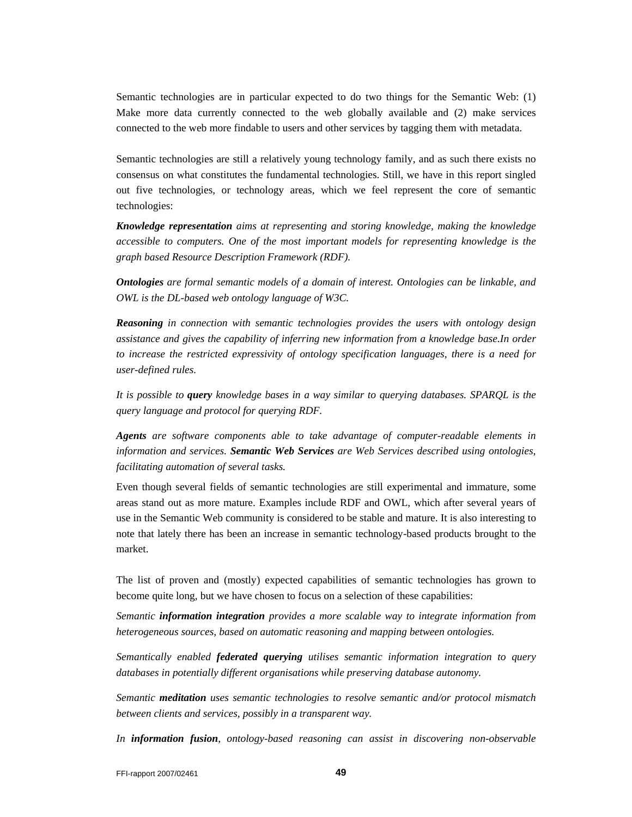Semantic technologies are in particular expected to do two things for the Semantic Web: (1) Make more data currently connected to the web globally available and (2) make services connected to the web more findable to users and other services by tagging them with metadata.

Semantic technologies are still a relatively young technology family, and as such there exists no consensus on what constitutes the fundamental technologies. Still, we have in this report singled out five technologies, or technology areas, which we feel represent the core of semantic technologies:

*Knowledge representation aims at representing and storing knowledge, making the knowledge accessible to computers. One of the most important models for representing knowledge is the graph based Resource Description Framework (RDF).* 

*Ontologies are formal semantic models of a domain of interest. Ontologies can be linkable, and OWL is the DL-based web ontology language of W3C.* 

*Reasoning in connection with semantic technologies provides the users with ontology design assistance and gives the capability of inferring new information from a knowledge base.In order to increase the restricted expressivity of ontology specification languages, there is a need for user-defined rules.* 

*It is possible to query knowledge bases in a way similar to querying databases. SPARQL is the query language and protocol for querying RDF.* 

*Agents are software components able to take advantage of computer-readable elements in information and services. Semantic Web Services are Web Services described using ontologies, facilitating automation of several tasks.* 

Even though several fields of semantic technologies are still experimental and immature, some areas stand out as more mature. Examples include RDF and OWL, which after several years of use in the Semantic Web community is considered to be stable and mature. It is also interesting to note that lately there has been an increase in semantic technology-based products brought to the market.

The list of proven and (mostly) expected capabilities of semantic technologies has grown to become quite long, but we have chosen to focus on a selection of these capabilities:

*Semantic information integration provides a more scalable way to integrate information from heterogeneous sources, based on automatic reasoning and mapping between ontologies.* 

*Semantically enabled federated querying utilises semantic information integration to query databases in potentially different organisations while preserving database autonomy.* 

*Semantic meditation uses semantic technologies to resolve semantic and/or protocol mismatch between clients and services, possibly in a transparent way.* 

*In information fusion, ontology-based reasoning can assist in discovering non-observable*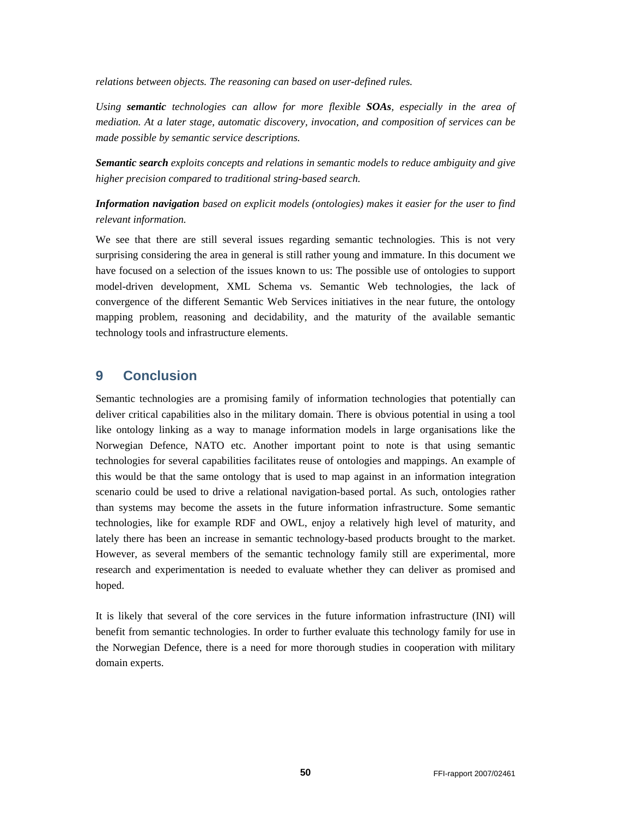*relations between objects. The reasoning can based on user-defined rules.* 

*Using semantic technologies can allow for more flexible SOAs, especially in the area of mediation. At a later stage, automatic discovery, invocation, and composition of services can be made possible by semantic service descriptions.* 

*Semantic search exploits concepts and relations in semantic models to reduce ambiguity and give higher precision compared to traditional string-based search.* 

*Information navigation based on explicit models (ontologies) makes it easier for the user to find relevant information.*

We see that there are still several issues regarding semantic technologies. This is not very surprising considering the area in general is still rather young and immature. In this document we have focused on a selection of the issues known to us: The possible use of ontologies to support model-driven development, XML Schema vs. Semantic Web technologies, the lack of convergence of the different Semantic Web Services initiatives in the near future, the ontology mapping problem, reasoning and decidability, and the maturity of the available semantic technology tools and infrastructure elements.

## **9 Conclusion**

Semantic technologies are a promising family of information technologies that potentially can deliver critical capabilities also in the military domain. There is obvious potential in using a tool like ontology linking as a way to manage information models in large organisations like the Norwegian Defence, NATO etc. Another important point to note is that using semantic technologies for several capabilities facilitates reuse of ontologies and mappings. An example of this would be that the same ontology that is used to map against in an information integration scenario could be used to drive a relational navigation-based portal. As such, ontologies rather than systems may become the assets in the future information infrastructure. Some semantic technologies, like for example RDF and OWL, enjoy a relatively high level of maturity, and lately there has been an increase in semantic technology-based products brought to the market. However, as several members of the semantic technology family still are experimental, more research and experimentation is needed to evaluate whether they can deliver as promised and hoped.

It is likely that several of the core services in the future information infrastructure (INI) will benefit from semantic technologies. In order to further evaluate this technology family for use in the Norwegian Defence, there is a need for more thorough studies in cooperation with military domain experts.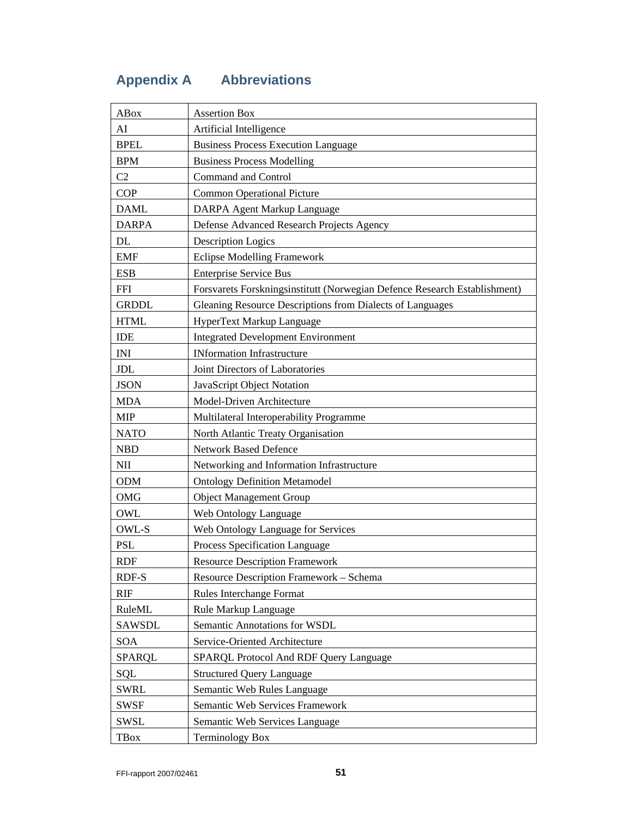# **Appendix A Abbreviations**

| <b>ABox</b>    | <b>Assertion Box</b>                                                      |
|----------------|---------------------------------------------------------------------------|
| AI             | Artificial Intelligence                                                   |
| <b>BPEL</b>    | <b>Business Process Execution Language</b>                                |
| <b>BPM</b>     | <b>Business Process Modelling</b>                                         |
| C <sub>2</sub> | <b>Command and Control</b>                                                |
| <b>COP</b>     | <b>Common Operational Picture</b>                                         |
| <b>DAML</b>    | DARPA Agent Markup Language                                               |
| <b>DARPA</b>   | Defense Advanced Research Projects Agency                                 |
| DL             | <b>Description Logics</b>                                                 |
| <b>EMF</b>     | <b>Eclipse Modelling Framework</b>                                        |
| <b>ESB</b>     | <b>Enterprise Service Bus</b>                                             |
| <b>FFI</b>     | Forsvarets Forskningsinstitutt (Norwegian Defence Research Establishment) |
| <b>GRDDL</b>   | Gleaning Resource Descriptions from Dialects of Languages                 |
| <b>HTML</b>    | HyperText Markup Language                                                 |
| IDE            | <b>Integrated Development Environment</b>                                 |
| <b>INI</b>     | <b>INformation Infrastructure</b>                                         |
| <b>JDL</b>     | Joint Directors of Laboratories                                           |
| <b>JSON</b>    | JavaScript Object Notation                                                |
| <b>MDA</b>     | Model-Driven Architecture                                                 |
| <b>MIP</b>     | Multilateral Interoperability Programme                                   |
| <b>NATO</b>    | North Atlantic Treaty Organisation                                        |
| <b>NBD</b>     | <b>Network Based Defence</b>                                              |
| NII            | Networking and Information Infrastructure                                 |
| <b>ODM</b>     | <b>Ontology Definition Metamodel</b>                                      |
| <b>OMG</b>     | <b>Object Management Group</b>                                            |
| OWL            | Web Ontology Language                                                     |
| OWL-S          | Web Ontology Language for Services                                        |
| <b>PSL</b>     | Process Specification Language                                            |
| <b>RDF</b>     | <b>Resource Description Framework</b>                                     |
| <b>RDF-S</b>   | Resource Description Framework - Schema                                   |
| <b>RIF</b>     | Rules Interchange Format                                                  |
| RuleML         | Rule Markup Language                                                      |
| <b>SAWSDL</b>  | Semantic Annotations for WSDL                                             |
| <b>SOA</b>     | Service-Oriented Architecture                                             |
| SPARQL         | SPARQL Protocol And RDF Query Language                                    |
| SQL            | <b>Structured Query Language</b>                                          |
| <b>SWRL</b>    | Semantic Web Rules Language                                               |
| <b>SWSF</b>    | Semantic Web Services Framework                                           |
| SWSL           | Semantic Web Services Language                                            |
| <b>TBox</b>    | <b>Terminology Box</b>                                                    |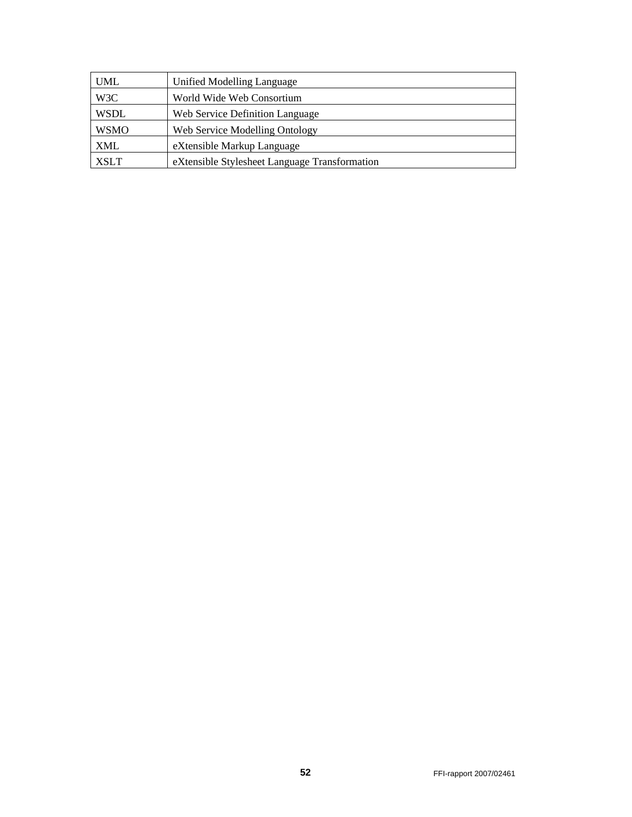| <b>UML</b>  | Unified Modelling Language                    |
|-------------|-----------------------------------------------|
| W3C         | World Wide Web Consortium                     |
| <b>WSDL</b> | Web Service Definition Language               |
| <b>WSMO</b> | Web Service Modelling Ontology                |
| <b>XML</b>  | eXtensible Markup Language                    |
| <b>XSLT</b> | eXtensible Stylesheet Language Transformation |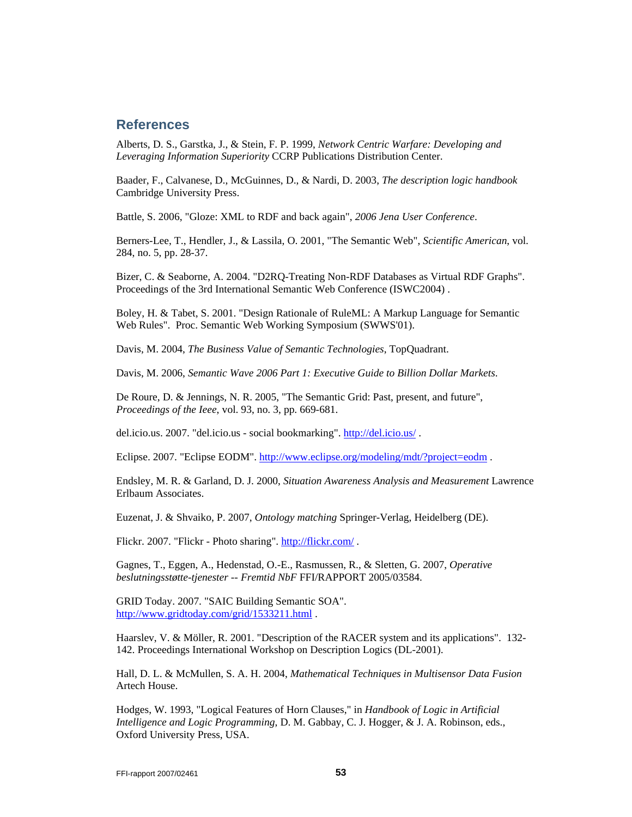### **References**

Alberts, D. S., Garstka, J., & Stein, F. P. 1999, *Network Centric Warfare: Developing and Leveraging Information Superiority* CCRP Publications Distribution Center.

Baader, F., Calvanese, D., McGuinnes, D., & Nardi, D. 2003, *The description logic handbook* Cambridge University Press.

Battle, S. 2006, "Gloze: XML to RDF and back again", *2006 Jena User Conference*.

Berners-Lee, T., Hendler, J., & Lassila, O. 2001, "The Semantic Web", *Scientific American*, vol. 284, no. 5, pp. 28-37.

Bizer, C. & Seaborne, A. 2004. "D2RQ-Treating Non-RDF Databases as Virtual RDF Graphs". Proceedings of the 3rd International Semantic Web Conference (ISWC2004) .

Boley, H. & Tabet, S. 2001. "Design Rationale of RuleML: A Markup Language for Semantic Web Rules". Proc. Semantic Web Working Symposium (SWWS'01).

Davis, M. 2004, *The Business Value of Semantic Technologies*, TopQuadrant.

Davis, M. 2006, *Semantic Wave 2006 Part 1: Executive Guide to Billion Dollar Markets*.

De Roure, D. & Jennings, N. R. 2005, "The Semantic Grid: Past, present, and future", *Proceedings of the Ieee*, vol. 93, no. 3, pp. 669-681.

del.icio.us. 2007. "del.icio.us - social bookmarking". http://del.icio.us/ .

Eclipse. 2007. "Eclipse EODM". http://www.eclipse.org/modeling/mdt/?project=eodm .

Endsley, M. R. & Garland, D. J. 2000, *Situation Awareness Analysis and Measurement* Lawrence Erlbaum Associates.

Euzenat, J. & Shvaiko, P. 2007, *Ontology matching* Springer-Verlag, Heidelberg (DE).

Flickr. 2007. "Flickr - Photo sharing". http://flickr.com/ .

Gagnes, T., Eggen, A., Hedenstad, O.-E., Rasmussen, R., & Sletten, G. 2007, *Operative beslutningsstøtte-tjenester -- Fremtid NbF* FFI/RAPPORT 2005/03584.

GRID Today. 2007. "SAIC Building Semantic SOA". http://www.gridtoday.com/grid/1533211.html .

Haarslev, V. & Möller, R. 2001. "Description of the RACER system and its applications". 132- 142. Proceedings International Workshop on Description Logics (DL-2001).

Hall, D. L. & McMullen, S. A. H. 2004, *Mathematical Techniques in Multisensor Data Fusion* Artech House.

Hodges, W. 1993, "Logical Features of Horn Clauses," in *Handbook of Logic in Artificial Intelligence and Logic Programming*, D. M. Gabbay, C. J. Hogger, & J. A. Robinson, eds., Oxford University Press, USA.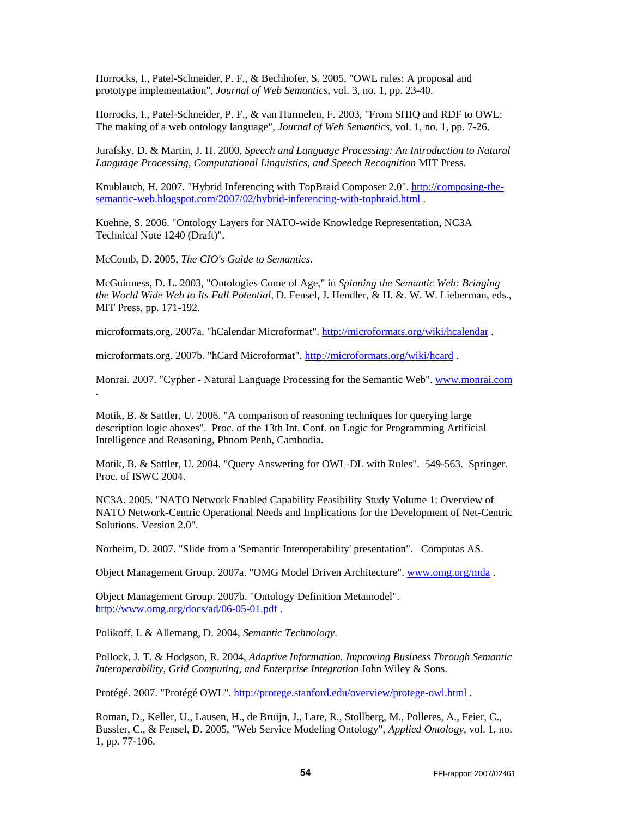Horrocks, I., Patel-Schneider, P. F., & Bechhofer, S. 2005, "OWL rules: A proposal and prototype implementation", *Journal of Web Semantics*, vol. 3, no. 1, pp. 23-40.

Horrocks, I., Patel-Schneider, P. F., & van Harmelen, F. 2003, "From SHIQ and RDF to OWL: The making of a web ontology language", *Journal of Web Semantics*, vol. 1, no. 1, pp. 7-26.

Jurafsky, D. & Martin, J. H. 2000, *Speech and Language Processing: An Introduction to Natural Language Processing, Computational Linguistics, and Speech Recognition* MIT Press.

Knublauch, H. 2007. "Hybrid Inferencing with TopBraid Composer 2.0". http://composing-thesemantic-web.blogspot.com/2007/02/hybrid-inferencing-with-topbraid.html .

Kuehne, S. 2006. "Ontology Layers for NATO-wide Knowledge Representation, NC3A Technical Note 1240 (Draft)".

McComb, D. 2005, *The CIO's Guide to Semantics*.

McGuinness, D. L. 2003, "Ontologies Come of Age," in *Spinning the Semantic Web: Bringing the World Wide Web to Its Full Potential*, D. Fensel, J. Hendler, & H. &. W. W. Lieberman, eds., MIT Press, pp. 171-192.

microformats.org. 2007a. "hCalendar Microformat". http://microformats.org/wiki/hcalendar .

microformats.org. 2007b. "hCard Microformat". http://microformats.org/wiki/hcard .

Monrai. 2007. "Cypher - Natural Language Processing for the Semantic Web". www.monrai.com .

Motik, B. & Sattler, U. 2006. "A comparison of reasoning techniques for querying large description logic aboxes". Proc. of the 13th Int. Conf. on Logic for Programming Artificial Intelligence and Reasoning, Phnom Penh, Cambodia.

Motik, B. & Sattler, U. 2004. "Query Answering for OWL-DL with Rules". 549-563. Springer. Proc. of ISWC 2004.

NC3A. 2005. "NATO Network Enabled Capability Feasibility Study Volume 1: Overview of NATO Network-Centric Operational Needs and Implications for the Development of Net-Centric Solutions. Version 2.0".

Norheim, D. 2007. "Slide from a 'Semantic Interoperability' presentation". Computas AS.

Object Management Group. 2007a. "OMG Model Driven Architecture". www.omg.org/mda .

Object Management Group. 2007b. "Ontology Definition Metamodel". http://www.omg.org/docs/ad/06-05-01.pdf .

Polikoff, I. & Allemang, D. 2004, *Semantic Technology*.

Pollock, J. T. & Hodgson, R. 2004, *Adaptive Information. Improving Business Through Semantic Interoperability, Grid Computing, and Enterprise Integration* John Wiley & Sons.

Protégé. 2007. "Protégé OWL". http://protege.stanford.edu/overview/protege-owl.html .

Roman, D., Keller, U., Lausen, H., de Bruijn, J., Lare, R., Stollberg, M., Polleres, A., Feier, C., Bussler, C., & Fensel, D. 2005, "Web Service Modeling Ontology", *Applied Ontology*, vol. 1, no. 1, pp. 77-106.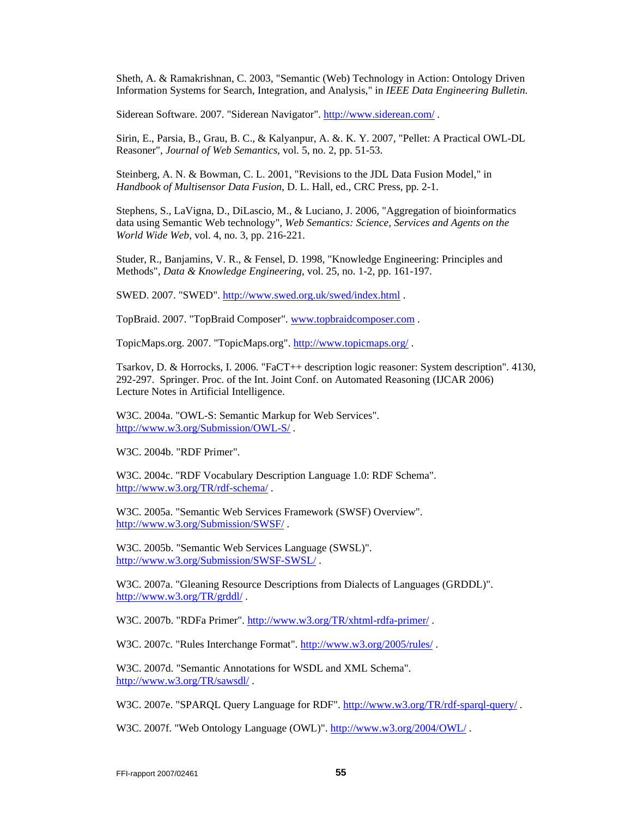Sheth, A. & Ramakrishnan, C. 2003, "Semantic (Web) Technology in Action: Ontology Driven Information Systems for Search, Integration, and Analysis," in *IEEE Data Engineering Bulletin*.

Siderean Software. 2007. "Siderean Navigator". http://www.siderean.com/ .

Sirin, E., Parsia, B., Grau, B. C., & Kalyanpur, A. &. K. Y. 2007, "Pellet: A Practical OWL-DL Reasoner", *Journal of Web Semantics*, vol. 5, no. 2, pp. 51-53.

Steinberg, A. N. & Bowman, C. L. 2001, "Revisions to the JDL Data Fusion Model," in *Handbook of Multisensor Data Fusion*, D. L. Hall, ed., CRC Press, pp. 2-1.

Stephens, S., LaVigna, D., DiLascio, M., & Luciano, J. 2006, "Aggregation of bioinformatics data using Semantic Web technology", *Web Semantics: Science, Services and Agents on the World Wide Web*, vol. 4, no. 3, pp. 216-221.

Studer, R., Banjamins, V. R., & Fensel, D. 1998, "Knowledge Engineering: Principles and Methods", *Data & Knowledge Engineering*, vol. 25, no. 1-2, pp. 161-197.

SWED. 2007. "SWED". http://www.swed.org.uk/swed/index.html .

TopBraid. 2007. "TopBraid Composer". www.topbraidcomposer.com .

TopicMaps.org. 2007. "TopicMaps.org". http://www.topicmaps.org/ .

Tsarkov, D. & Horrocks, I. 2006. "FaCT++ description logic reasoner: System description". 4130, 292-297. Springer. Proc. of the Int. Joint Conf. on Automated Reasoning (IJCAR 2006) Lecture Notes in Artificial Intelligence.

W3C. 2004a. "OWL-S: Semantic Markup for Web Services". http://www.w3.org/Submission/OWL-S/ .

W3C. 2004b. "RDF Primer".

W3C. 2004c. "RDF Vocabulary Description Language 1.0: RDF Schema". http://www.w3.org/TR/rdf-schema/ .

W3C. 2005a. "Semantic Web Services Framework (SWSF) Overview". http://www.w3.org/Submission/SWSF/ .

W3C. 2005b. "Semantic Web Services Language (SWSL)". http://www.w3.org/Submission/SWSF-SWSL/ .

W3C. 2007a. "Gleaning Resource Descriptions from Dialects of Languages (GRDDL)". http://www.w3.org/TR/grddl/ .

W3C. 2007b. "RDFa Primer". http://www.w3.org/TR/xhtml-rdfa-primer/ .

W3C. 2007c. "Rules Interchange Format". http://www.w3.org/2005/rules/ .

W3C. 2007d. "Semantic Annotations for WSDL and XML Schema". http://www.w3.org/TR/sawsdl/ .

W3C. 2007e. "SPARQL Query Language for RDF". http://www.w3.org/TR/rdf-sparql-query/ .

W3C. 2007f. "Web Ontology Language (OWL)". http://www.w3.org/2004/OWL/ .